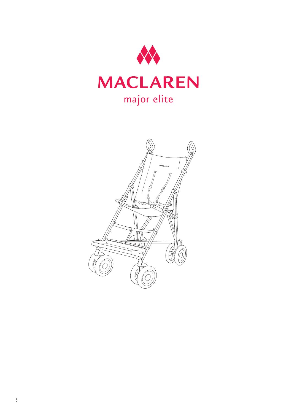

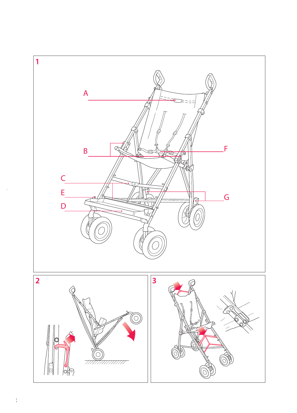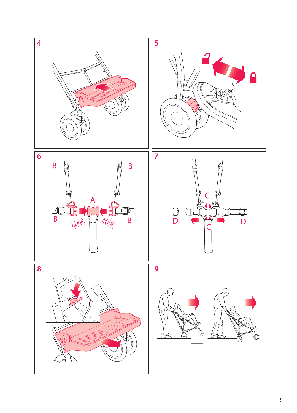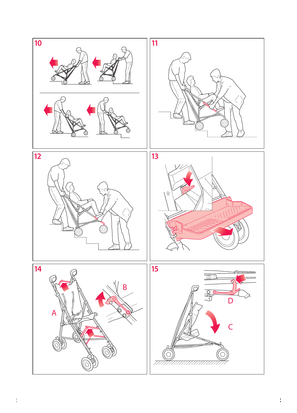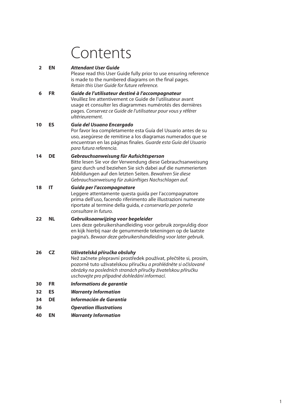# Contents

#### **2 EN***Attendant User Guide*

Please read this User Guide fully prior to use ensuring reference is made to the numbered diagrams on the final pages. Retain this User Guide for future reference.

 **6 FR** *Guide de l'utilisateur destiné à l'accompagnateur* Veuillez lire attentivement ce Guide de l'utilisateur avant usage et consulter les diagrammes numérotés des dernières pages. Conservez ce Guide de l'utilisateur pour vous y référer ultérieurement.

#### **10 ES** *Guía del Usuano Encargado*

Por favor lea completamente esta Guía del Usuario antes de su uso, asegúrese de remitirse a los diagramas numerados que se encuentran en las páginas finales. Guarde esta Guía del Usuario para futura referencia.

#### **14 DE** *Gebrauchsanweisung für Aufsichtsperson*

Bitte lesen Sie vor der Verwendung diese Gebrauchsanweisung ganz durch und beziehen Sie sich dabei auf die nummerierten Abbildungen auf den letzten Seiten. Bewahren Sie diese Gebrauchsanweisung für zukünftiges Nachschlagen auf.

#### **18 IT** *Guida per l'accompagnatore*

Leggere attentamente questa guida per l'accompagnatore prima dell'uso, facendo riferimento alle illustrazioni numerate riportate al termine della guida, e conservarla per poterla consultare in futuro.

#### **22 NL** *Gebruiksaanwijzing voor begeleider* Lees deze gebruikershandleiding voor gebruik zorgvuldig door en kijk hierbij naar de genummerde tekeningen op de laatste pagina's. Bewaar deze gebruikershandleiding voor later gebruik.

#### **26 CZ** *Uživatelská příručka obsluhy*

Než začnete přepravní prostředek používat, přečtĕte si, prosím, pozornĕ tuto uživatelskou příručku a prohlédnĕte si očíslované obrázky na posledních stranách příručky živatelskou příručku uschovejte pro případné dohledání informací.

- **30FR** *Informations de garantie*
- **32ES** *Warranty Information*
- **34DE** *Información de Garantía*
- **36***Operation Illustrations*
- **40EN** *Warranty Information*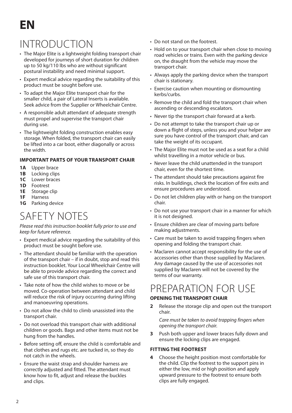# **INTRODUCTION**

- The Major Elite is a lightweight folding transport chair developed for journeys of short duration for children up to 50 kg/110 lbs who are without significant postural instability and need minimal support.
- Expert medical advice regarding the suitability of this product must be sought before use.
- To adapt the Major Elite transport chair for the smaller child, a pair of Lateral Inserts is available. Seek advice from the Supplier or Wheelchair Centre.
- A responsible adult attendant of adequate strength must propel and supervise the transport chair during use.
- The lightweight folding construction enables easy storage. When folded, the transport chair can easily be lifted into a car boot, either diagonally or across the width.

#### **IMPORTANT PARTS OF YOUR TRANSPORT CHAIR**

- **1A** Upper brace
- **1B** Locking clips
- **1C** Lower braces
- **1D** Footrest
- **1E** Storage clip
- **1F** Harness
- **1G** Parking device

# SAFETY NOTES

Please read this instruction booklet fully prior to use and keep for future reference.

- Expert medical advice regarding the suitability of this product must be sought before use.
- The attendant should be familiar with the operation of the transport chair – if in doubt, stop and read this instruction booklet. Your Local Wheelchair Centre will be able to provide advice regarding the correct and safe use of this transport chair.
- Take note of how the child wishes to move or be moved. Co-operation between attendant and child will reduce the risk of injury occurring during lifting and manoeuvring operations.
- Do not allow the child to climb unassisted into the transport chair.
- Do not overload this transport chair with additional children or goods. Bags and other items must not be hung from the handles.
- Before setting off, ensure the child is comfortable and that clothes and rugs etc. are tucked in, so they do not catch in the wheels.
- Ensure the waist strap and shoulder harness are correctly adjusted and fitted. The attendant must know how to fit, adjust and release the buckles and clips.
- Do not stand on the footrest.
- Hold on to your transport chair when close to moving road vehicles or trains. Even with the parking device on, the draught from the vehicle may move the transport chair.
- Always apply the parking device when the transport chair is stationary.
- Exercise caution when mounting or dismounting kerbs/curbs.
- Remove the child and fold the transport chair when ascending or descending escalators.
- Never tip the transport chair forward at a kerb.
- Do not attempt to take the transport chair up or down a flight of steps, unless you and your helper are sure you have control of the transport chair, and can take the weight of its occupant.
- The Major Elite must not be used as a seat for a child whilst travelling in a motor vehicle or bus.
- Never leave the child unattended in the transport chair, even for the shortest time.
- The attendant should take precautions against fire risks. In buildings, check the location of fire exits and ensure procedures are understood.
- Do not let children play with or hang on the transport chair.
- Do not use your transport chair in a manner for which it is not designed.
- Ensure children are clear of moving parts before making adjustments.
- Care must be taken to avoid trapping fingers when opening and folding the transport chair.
- Maclaren cannot accept responsibility for the use of accessories other than those supplied by Maclaren. Any damage caused by the use of accessories not supplied by Maclaren will not be covered by the terms of our warranty.

### PREPARATION FOR USE

#### **OPENING THE TRANSPORT CHAIR**

**2** Release the storage clip and open out the transport chair.

 Care must be taken to avoid trapping fingers when opening the transport chair.

**3** Push both upper and lower braces fully down and ensure the locking clips are engaged.

#### **FITTING THE FOOTREST**

**<sup>4</sup>** Choose the height position most comfortable for the child. Clip the footrest to the support pins in either the low, mid or high position and apply upward pressure to the footrest to ensure both clips are fully engaged.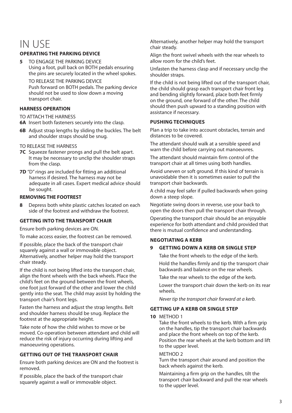### IN USE

#### **OPERATING THE PARKING DEVICE**

**5** TO ENGAGE THE PARKING DEVICE Using a foot, pull back on BOTH pedals ensuring the pins are securely located in the wheel spokes.

 TO RELEASE THE PARKING DEVICEPush forward on BOTH pedals. The parking device should not be used to slow down a moving transport chair.

#### **HARNESS OPERATION**

TO ATTACH THE HARNESS

- **6A** Insert both fasteners securely into the clasp.
- **6B** Adjust strap lengths by sliding the buckles. The belt and shoulder straps should be snug.
- TO RELEASE THE HARNESS
- **7C** Squeeze fastener prongs and pull the belt apart. It may be necessary to unclip the shoulder straps from the clasp.
- **7D** "D" rings are included for fitting an additional harness if desired. The harness may not be adequate in all cases. Expert medical advice should be sought.

#### **REMOVING THE FOOTREST**

**8** Depress both white plastic catches located on each side of the footrest and withdraw the footrest.

#### **GETTING INTO THE TRANSPORT CHAIR**

Ensure both parking devices are ON.

To make access easier, the footrest can be removed.

 If possible, place the back of the transport chair squarely against a wall or immovable object. Alternatively, another helper may hold the transport chair steady.

 If the child is not being lifted into the transport chair, align the front wheels with the back wheels. Place the child's feet on the ground between the front wheels, one foot just forward of the other and lower the child gently into the seat. The child may assist by holding the transport chair's front legs.

 Fasten the harness and adjust the strap lengths. Belt and shoulder harness should be snug. Replace the footrest at the appropriate height.

 Take note of how the child wishes to move or be moved. Co-operation between attendant and child will reduce the risk of injury occurring during lifting and manoeuvring operations.

#### **GETTING OUT OF THE TRANSPORT CHAIR**

 Ensure both parking devices are ON and the footrest is removed.

 If possible, place the back of the transport chair squarely against a wall or immovable object.

Alternatively, another helper may hold the transport chair steady.

 Align the front swivel wheels with the rear wheels to allow room for the child's feet.

 Unfasten the harness clasp and if necessary unclip the shoulder straps.

 If the child is not being lifted out of the transport chair, the child should grasp each transport chair front leg and bending slightly forward, place both feet firmly on the ground, one forward of the other. The child should then push upward to a standing position with assistance if necessary.

#### **PUSHING TECHNIQUES**

 Plan a trip to take into account obstacles, terrain and distances to be covered.

 The attendant should walk at a sensible speed and warn the child before carrying out manoeuvres.

 The attendant should maintain firm control of the transport chair at all times using both handles.

 Avoid uneven or soft ground. If this kind of terrain is unavoidable then it is sometimes easier to pull the transport chair backwards.

 A child may feel safer if pulled backwards when going down a steep slope.

 Negotiate swing doors in reverse, use your back to open the doors then pull the transport chair through.

 Operating the transport chair should be an enjoyable experience for both attendant and child provided that there is mutual confidence and understanding.

#### **NEGOTIATING A KERB**

#### **9GETTING DOWN A KERB OR SINGLE STEP**

Take the front wheels to the edge of the kerb.

 Hold the handles firmly and tip the transport chair backwards and balance on the rear wheels.

Take the rear wheels to the edge of the kerb.

 Lower the transport chair down the kerb on its rear wheels.

Never tip the transport chair forward at a kerb.

#### **GETTING UP A KERB OR SINGLE STEP**

**10** METHOD 1

Take the front wheels to the kerb. With a firm grip on the handles, tip the transport chair backwards and place the front wheels on top of the kerb. Position the rear wheels at the kerb bottom and lift to the upper level.

#### METHOD 2

Turn the transport chair around and position the back wheels against the kerb.

 Maintaining a firm grip on the handles, tilt the transport chair backward and pull the rear wheels to the upper level.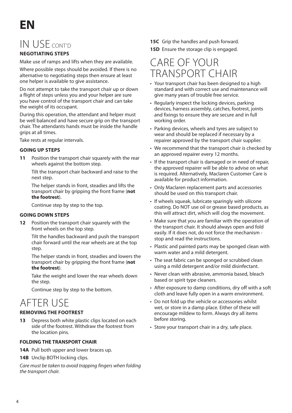# **EN**

### IN USE CONT'D

#### **NEGOTIATING STEPS**

Make use of ramps and lifts when they are available.

 Where possible steps should be avoided. If there is no alternative to negotiating steps then ensure at least one helper is available to give assistance.

Do not attempt to take the transport chair up or down a flight of steps unless you and your helper are sure you have control of the transport chair and can take the weight of its occupant.

 During this operation, the attendant and helper must be well balanced and have secure grip on the transport chair. The attendants hands must be inside the handle grips at all times.

Take rests at regular intervals.

#### **GOING UP STEPS**

**<sup>11</sup>** Position the transport chair squarely with the rear wheels against the bottom step.

 Tilt the transport chair backward and raise to the next step.

 The helper stands in front, steadies and lifts the transport chair by gripping the front frame (**not the footrest**).

Continue step by step to the top.

#### **GOING DOWN STEPS**

**12** Position the transport chair squarely with the front wheels on the top step.

> Tilt the handles backward and push the transport chair forward until the rear wheels are at the top step.

 The helper stands in front, steadies and lowers the transport chair by gripping the front frame (**not the footrest**).

 Take the weight and lower the rear wheels down the step.

Continue step by step to the bottom.

# AFTER USE

#### **REMOVING THE FOOTREST**

**13** Depress both white plastic clips located on each side of the footrest. Withdraw the footrest from the location pins.

#### **FOLDING THE TRANSPORT CHAIR**

- **14A** Pull both upper and lower braces up.
- 14B Unclip BOTH locking clips.

Care must be taken to avoid trapping fingers when folding the transport chair.

- **15C** Grip the handles and push forward.
- **15D** Ensure the storage clip is engaged.

### CARE OF YOUR TRANSPORT CHAIR

- Your transport chair has been designed to a high standard and with correct use and maintenance will give many years of trouble free service.
- Regularly inspect the locking devices, parking devices, harness assembly, catches, footrest, joints and fixings to ensure they are secure and in full working order.
- Parking devices, wheels and tyres are subject to wear and should be replaced if necessary by a repairer approved by the transport chair supplier.
- We recommend that the transport chair is checked by an approved repairer every 12 months.
- If the transport chair is damaged or in need of repair, the approved repairer will be able to advise on what is required. Alternatively, Maclaren Customer Care is available for product information.
- Only Maclaren replacement parts and accessories should be used on this transport chair.
- If wheels squeak, lubricate sparingly with silicone coating. Do NOT use oil or grease based products, as this will attract dirt, which will clog the movement.
- Make sure that you are familiar with the operation of the transport chair. It should always open and fold easily. If it does not, do not force the mechanism stop and read the instructions.
- Plastic and painted parts may be sponged clean with warm water and a mild detergent.
- The seat fabric can be sponged or scrubbed clean using a mild detergent and/or mild disinfectant.
- Never clean with abrasive, ammonia based, bleach based or spirit type cleaners.
- After exposure to damp conditions, dry off with a soft cloth and leave fully open in a warm environment.
- Do not fold up the vehicle or accessories whilst wet, or store in a damp place. Either of these will encourage mildew to form. Always dry all items before storing.
- Store your transport chair in a dry, safe place.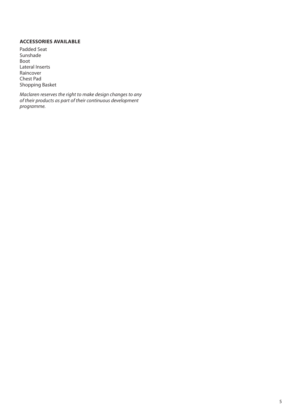#### **ACCESSORIES AVAILABLE**

Padded Seat SunshadeBoot Lateral Inserts Raincover Chest PadShopping Basket

Maclaren reserves the right to make design changes to any of their products as part of their continuous development programme.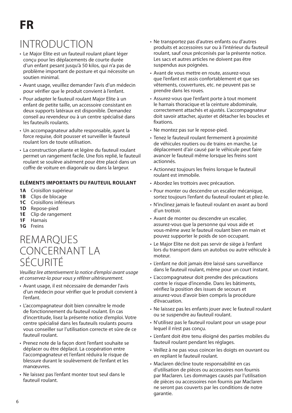# INTRODUCTION

- Le Major Elite est un fauteuil roulant pliant léger conçu pour les déplacements de courte durée d'un enfant pesant jusqu'à 50 kilos, qui n'a pas de problème important de posture et qui nécessite un soutien minimal.
- Avant usage, veuillez demander l'avis d'un médecin pour vérifier que le produit convient à l'enfant.
- Pour adapter le fauteuil roulant Major Elite à un enfant de petite taille, un accessoire consistant en deux supports latéraux est disponible. Demandez conseil au revendeur ou à un centre spécialisé dans les fauteuils roulants.
- Un accompagnateur adulte responsable, ayant la force requise, doit pousser et surveiller le fauteuil roulant lors de toute utilisation.
- La construction pliante et légère du fauteuil roulant permet un rangement facile. Une fois replié, le fauteuil roulant se soulève aisément pour être placé dans un coffre de voiture en diagonale ou dans la largeur.

#### **ELÉMENTS IMPORTANTS DU FAUTEUIL ROULANT**

- **1A** Croisillon supérieur
- **1B** Clips de blocage
- **1C** Croisillons inférieurs
- **1D** Repose-pied
- **1E** Clip de rangement
- **1F** Harnais
- **1G** Freins

### REMARQUES CONCERNANT LA SÉCURITÉ

Veuillez lire attentivement la notice d'emploi avant usage et conservez-la pour vous y référer ultérieurement.

- Avant usage, il est nécessaire de demander l'avis d'un médecin pour vérifier que le produit convient à l'enfant.
- L'accompagnateur doit bien connaître le mode de fonctionnement du fauteuil roulant. En cas d'incertitude, lisez la présente notice d'emploi. Votre centre spécialisé dans les fauteuils roulants pourra vous conseiller sur l'utilisation correcte et sûre de ce fauteuil roulant.
- Prenez note de la façon dont l'enfant souhaite se déplacer ou être déplacé. La coopération entre l'accompagnateur et l'enfant réduira le risque de blessure durant le soulèvement de l'enfant et les manœuvres.
- Ne laissez pas l'enfant monter tout seul dans le fauteuil roulant.
- Ne transportez pas d'autres enfants ou d'autres produits et accessoires sur ou à l'intérieur du fauteuil roulant, sauf ceux préconisés par la présente notice. Les sacs et autres articles ne doivent pas être suspendus aux poignées.
- Avant de vous mettre en route, assurez-vous que l'enfant est assis confortablement et que ses vêtements, couvertures, etc. ne peuvent pas se prendre dans les roues.
- Assurez-vous que l'enfant porte à tout moment le harnais thoracique et la ceinture abdominale, correctement attachés et ajustés. L'accompagnateur doit savoir attacher, ajuster et détacher les boucles et fixations.
- Ne montez pas sur le repose-pied.
- Tenez le fauteuil roulant fermement à proximité de véhicules routiers ou de trains en marche. Le déplacement d'air causé par le véhicule peut faire avancer le fauteuil même lorsque les freins sont actionnés.
- Actionnez toujours les freins lorsque le fauteuil roulant est immobile.
- Abordez les trottoirs avec précaution.
- Pour monter ou descendre un escalier mécanique, sortez toujours l'enfant du fauteuil roulant et pliez-le.
- N'inclinez jamais le fauteuil roulant en avant au bord d'un trottoir.
- Avant de monter ou descendre un escalier, assurez-vous que la personne qui vous aide et vous-même avez le fauteuil roulant bien en main et pouvez supporter le poids de son occupant.
- Le Major Elite ne doit pas servir de siège à l'enfant lors du transport dans un autobus ou autre véhicule à moteur.
- L'enfant ne doit jamais être laissé sans surveillance dans le fauteuil roulant, même pour un court instant.
- L'accompagnateur doit prendre des précautions contre le risque d'incendie. Dans les bâtiments, vérifiez la position des issues de secours et assurez-vous d'avoir bien compris la procédure d'évacuation.
- Ne laissez pas les enfants jouer avec le fauteuil roulant ou se suspendre au fauteuil roulant.
- N'utilisez pas le fauteuil roulant pour un usage pour lequel il n'est pas conçu.
- L'enfant doit être tenu éloigné des parties mobiles du fauteuil roulant pendant les réglages.
- Veillez à ne pas vous coincer les doigts en ouvrant ou en repliant le fauteuil roulant.
- Maclaren décline toute responsabilité en cas d'utilisation de pièces ou accessoires non fournis par Maclaren. Les dommages causés par l'utilisation de pièces ou accessoires non fournis par Maclaren ne seront pas couverts par les conditions de notre garantie.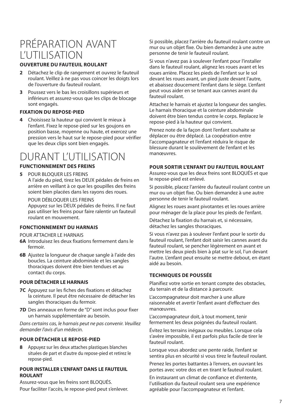### PRÉPARATION AVANT L'UTILISATION

#### **OUVERTURE DU FAUTEUIL ROULANT**

- **2** Détachez le clip de rangement et ouvrez le fauteuil roulant. Veillez à ne pas vous coincer les doigts lors de l'ouverture du fauteuil roulant.
- **3** Poussez vers le bas les croisillons supérieurs et inférieurs et assurez-vous que les clips de blocage sont engagés.

#### **FIXATION DU REPOSE-PIED**

**4** Choisissez la hauteur qui convient le mieux à l'enfant. Fixez le repose-pied sur les goujons en position basse, moyenne ou haute, et exercez une pression vers le haut sur le repose-pied pour vérifier que les deux clips sont bien engagés.

### DURANT L'UTILISATION

#### **FUNCTIONNEMENT DES FREINS**

**5** POUR BLOQUER LES FREINS A l'aide du pied, tirez les DEUX pédales de freins en arrière en veillant à ce que les goupilles des freins soient bien placées dans les rayons des roues.

#### POUR DÉBLOQUER LES FREINS

Appuyez sur les DEUX pédales de freins. Il ne faut pas utiliser les freins pour faire ralentir un fauteuil roulant en mouvement.

#### **FONCTIONNEMENT DU HARNAIS**

POUR ATTACHER LE HARNAIS

- **6A** Introduisez les deux fixations fermement dans le fermoir.
- **6B** Ajustez la longueur de chaque sangle à l'aide des boucles. La ceinture abdominale et les sangles thoraciques doivent être bien tendues et au contact du corps.

#### **POUR DÉTACHER LE HARNAIS**

- **7C** Appuyez sur les fiches des fixations et détachez la ceinture. Il peut être nécessaire de détacher les sangles thoraciques du fermoir.
- **7D** Des anneaux en forme de "D" sont inclus pour fixer un harnais supplémentaire au besoin.

Dans certains cas, le harnais peut ne pas convenir. Veuillez demander l'avis d'un médecin.

#### **POUR DÉTACHER LE REPOSE-PIED**

**8** Appuyez sur les deux attaches plastiques blanches situées de part et d'autre du repose-pied et retirez le repose-pied.

#### **POUR INSTALLER L'ENFANT DANS LE FAUTEUILROULANT**

Assurez-vous que les freins sont BLOQUÉS. Pour faciliter l'accès, le repose-pied peut s'enlever. Si possible, placez l'arrière du fauteuil roulant contre un mur ou un objet fixe. Ou bien demandez à une autre personne de tenir le fauteuil roulant.

Si vous n'avez pas à soulever l'enfant pour l'installer dans le fauteuil roulant, alignez les roues avant et les roues arrière. Placez les pieds de l'enfant sur le sol devant les roues avant, un pied juste devant l'autre, et abaissez doucement l'enfant dans le siège. L'enfant peut vous aider en se tenant aux cannes avant du fauteuil roulant.

Attachez le harnais et ajustez la longueur des sangles. Le harnais thoracique et la ceinture abdominale doivent être bien tendus contre le corps. Replacez le repose-pied à la hauteur qui convient.

Prenez note de la façon dont l'enfant souhaite se déplacer ou être déplacé. La coopération entre l'accompagnateur et l'enfant réduira le risque de blessure durant le soulèvement de l'enfant et les manœuvres.

#### **POUR SORTIR L'ENFANT DU FAUTEUIL ROULANT**

 Assurez-vous que les deux freins sont BLOQUÉS et que le repose-pied est enlevé.

 Si possible, placez l'arrière du fauteuil roulant contre un mur ou un objet fixe. Ou bien demandez à une autre personne de tenir le fauteuil roulant.

 Alignez les roues avant pivotantes et les roues arrière pour ménager de la place pour les pieds de l'enfant.

 Détachez la fixation du harnais et, si nécessaire, détachez les sangles thoraciques.

 Si vous n'avez pas à soulever l'enfant pour le sortir du fauteuil roulant, l'enfant doit saisir les cannes avant du fauteuil roulant, se pencher légèrement en avant et mettre les deux pieds bien à plat sur le sol, l'un devant l'autre. L'enfant peut ensuite se mettre debout, en étant aidé au besoin.

#### **TECHNIQUES DE POUSSÉE**

Planifiez votre sortie en tenant compte des obstacles, du terrain et de la distance à parcourir.

 L'accompagnateur doit marcher à une allure raisonnable et avertir l'enfant avant d'effectuer des manœuvres.

 L'accompagnateur doit, à tout moment, tenir fermement les deux poignées du fauteuil roulant.

Évitez les terrains inégaux ou meubles. Lorsque cela <sup>s</sup>'avère impossible, il est parfois plus facile de tirer le fauteuil roulant.

 Lorsque vous abordez une pente raide, l'enfant se sentira plus en sécurité si vous tirez le fauteuil roulant.

 Prenez les portes battantes à l'envers, en ouvrant les portes avec votre dos et en tirant le fauteuil roulant.

 En instaurant un climat de confiance et d'entente, l'utilisation du fauteuil roulant sera une expérience agréable pour l'accompagnateur et l'enfant.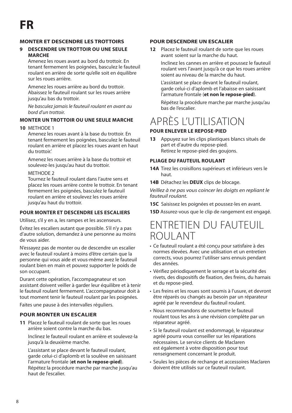#### **MONTER ET DESCENDRE LES TROTTOIRS**

#### **9 DESCENDRE UN TROTTOIR OU UNE SEULE MARCHE**

 Amenez les roues avant au bord du trottoir. En tenant fermement les poignées, basculez le fauteuil roulant en arrière de sorte qu'elle soit en équilibre sur les roues arrière.

 Amenez les roues arrière au bord du trottoir. Abaissez le fauteuil roulant sur les roues arrière jusqu'au bas du trottoir.

Ne basculez jamais le fauteuil roulant en avant au bord d'un trottoir.

#### **MONTER UN TROTTOIR OU UNE SEULE MARCHE**

#### **10** METHODE 1

Amenez les roues avant à la base du trottoir. En tenant fermement les poignées, basculez le fauteuil roulant en arrière et placez les roues avant en haut du trottoir.'

 Amenez les roues arrière à la base du trottoir et soulevez-les jusqu'au haut du trottoir.

#### METHODE<sub>2</sub>

 Tournez le fauteuil roulant dans l'autre sens et placez les roues arrière contre le trottoir. En tenant fermement les poignées, basculez le fauteuil roulant en arrière et soulevez les roues arrière jusqu'au haut du trottoir.

#### **POUR MONTER ET DESCENDRE LES ESCALIERS**

Utilisez, s'il y en a, les rampes et les ascenseurs.

 Évitez les escaliers autant que possible. S'il n'y a pas d'autre solution, demandez à une personne au moins de vous aider.

 N'essayez pas de monter ou de descendre un escalier avec le fauteuil roulant à moins d'être certain que la personne qui vous aide et vous-même avez le fauteuil roulant bien en main et pouvez supporter le poids de son occupant.

 Durant cette opération, l'accompagnateur et son assistant doivent veiller à garder leur équilibre et à tenir le fauteuil roulant fermement. L'accompagnateur doit à tout moment tenir le fauteuil roulant par les poignées.

Faites une pause à des intervalles réguliers.

#### **POUR MONTER UN ESCALIER**

**11** Placez le fauteuil roulant de sorte que les roues arrière soient contre la marche du bas.

 Inclinez le fauteuil roulant en arrière et soulevez-la jusqu'à la deuxième marche.

 L'assistant se place devant le fauteuil roulant, garde celui-ci d'aplomb et la soulève en saisissant l'armature frontale (**et non le repose-pied**). Répétez la procédure marche par marche jusqu'au haut de l'escalier.

#### **POUR DESCENDRE UN ESCALIER**

**12** Placez le fauteuil roulant de sorte que les roues avant soient sur la marche du haut.

 Inclinez les cannes en arrière et poussez le fauteuil roulant vers l'avant jusqu'à ce que les roues arrière soient au niveau de la marche du haut.

 L'assistant se place devant le fauteuil roulant, garde celui-ci d'aplomb et l'abaisse en saisissant l'armature frontale (**et non le repose-pied**).

 Répétez la procédure marche par marche jusqu'au bas de l'escalier.

### APRÈS L'UTILISATION

#### **POUR ENLEVER LE REPOSE-PIED**

**13** Appuyez sur les clips plastiques blancs situés de part et d'autre du repose-pied. Retirez le repose-pied des goujons.

#### **PLIAGE DU FAUTEUIL ROULANT**

- **14A** Tirez les croisillons supérieurs et inférieurs vers le haut.
- **14B** Détachez les **DEUX** clips de blocage.

Veillez à ne pas vous coincer les doigts en repliant le fauteuil roulant.

**15C** Saisissez les poignées et poussez-les en avant.

**15D** Assurez-vous que le clip de rangement est engagé.

### ENTRETIEN DU FAUTEUIL ROULANT

- Ce fauteuil roulant a été conçu pour satisfaire à des normes élevées. Avec une utilisation et un entretien corrects, vous pourrez l'utiliser sans ennuis pendant des années.
- Vérifiez périodiquement le serrage et la sécurité des rivets, des dispositifs de fixation, des freins, du harnais et du repose-pied.
- Les freins et les roues sont soumis à l'usure, et devront être réparés ou changés au besoin par un réparateur agréé par le revendeur du fauteuil roulant.
- Nous recommandons de soumettre le fauteuil roulant tous les ans à une révision complète par un réparateur agréé.
- Si le fauteuil roulant est endommagé, le réparateur agréé pourra vous conseiller sur les réparations nécessaires. Le service clients de Maclaren est également à votre disposition pour tout renseignement concernant le produit.
- Seules les pièces de rechange et accessoires Maclaren doivent être utilisés sur ce fauteuil roulant.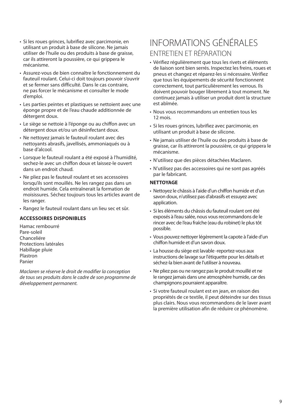- Si les roues grinces, lubrifiez avec parcimonie, en utilisant un produit à base de silicone. Ne jamais utiliser de l'huile ou des produits à base de graisse, car ils attireront la poussière, ce qui grippera le mécanisme.
- Assurez-vous de bien connaître le fonctionnement du fauteuil roulant. Celui-ci doit toujours pouvoir s'ouvrir et se fermer sans difficulté. Dans le cas contraire, ne pas forcer le mécanisme et consulter le mode d'emploi.
- Les parties peintes et plastiques se nettoient avec une éponge propre et de l'eau chaude additionnée de détergent doux.
- Le siège se nettoie à l'éponge ou au chiffon avec un détergent doux et/ou un désinfectant doux.
- Ne nettoyez jamais le fauteuil roulant avec des nettoyants abrasifs, javellisés, ammoniaqués ou à base d'alcool.
- Lorsque le fauteuil roulant a été exposé à l'humidité, sechez-le avec un chiffon doux et laissez-le ouvert dans un endroit chaud.
- Ne pliez pas le fauteuil roulant et ses accessoires lorsqu'ils sont mouillés. Ne les rangez pas dans un endroit humide. Cela entraînerait la formation de moisissures. Séchez toujours tous les articles avant de les ranger.
- Rangez le fauteuil roulant dans un lieu sec et sûr.

#### **ACCESSOIRES DISPONIBLES**

Hamac rembourréPare-soleil Chanceliére Protections latéralesHabillage pluie **Plastron** Panier

Maclaren se réserve le droit de modifier la conception de tous ses produits dans le cadre de son programme de développement permanent.

### INFORMATIONS GÉNÉRALESENTRETIEN ET RÉPARATION

- Vérifiez régulièrement que tous les rivets et éléments de liaison sont bien serrés. Inspectez les freins, roues et pneus et changez et réparez-les si nécessaire. Vérifiez que tous les équipements de sécurité fonctionnent correctement, tout particulièrement les verrous. Ils doivent pouvoir bouger librement à tout moment. Ne continuez jamais à utiliser un produit dont la structure est abîmée.
- Nous vous recommandons un entretien tous les 12 mois.
- Si les roues grinces, lubrifiez avec parcimonie, en utilisant un produit à base de silicone.
- Ne jamais utiliser de l'huile ou des produits à base de graisse, car ils attireront la poussière, ce qui grippera le mécanisme.
- N'utilisez que des pièces détachées Maclaren.
- N'utilisez pas des accessoires qui ne sont pas agréés par le fabricant.

#### **NETTOYAGE**

- Nettoyez le châssis à l'aide d'un chiffon humide et d'un savon doux, n'utilisez pas d'abrasifs et essuyez avec application.
- Si les éléments du châssis du fauteuil roulant ont été exposés à l'eau salée, nous vous recommandons de le rincer avec de l'eau fraîche (eau du robinet) le plus tôt possible.
- Vous pouvez nettoyer légèrement la capote à l'aide d'un chiffon humide et d'un savon doux.
- La housse du siège est lavable -reportez-vous aux instructions de lavage sur l'étiquette pour les détails et séchez-la bien avant de l'utiliser à nouveau.
- Ne pliez pas ou ne rangez pas le produit mouillé et ne le rangez jamais dans une atmosphère humide, car des champignons pourraient apparaître.
- Si votre fauteuil roulant est en jean, en raison des propriétés de ce textile, il peut déteindre sur des tissus plus clairs. Nous vous recommandons de le laver avant la première utilisation afin de réduire ce phénomène.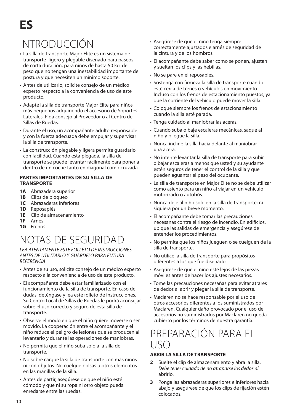# INTRODUCCIÓN

- La silla de transporte Major Elite es un sistema de transporte ligero y plegable diseñado para paseos de corta duración, para niños de hasta 50 kg. de peso que no tengan una inestabilidad importante de postura y que necesiten un mínimo soporte.
- Antes de utilizarlo, solicite consejo de un médico experto respecto a la conveniencia de uso de este producto.
- Adapte la silla de transporte Major Elite para niños más pequeños adquiriendo el accesono de Soportes Laterales. Pida consejo al Proveedor o al Centro de Sillas de Ruedas.
- Durante el uso, un acompañante adulto responsable y con la fuerza adecuada débe empujar y supervisar la silla de transporte.
- La construcción plegable y ligera permite guardarlo con facilidad. Cuando está plegada, la silla de transporte se puede levantar fácilmente para ponerla dentro de un coche tanto en diagonal como cruzada.

#### **PARTES IMPORTANTES DE SU SILLA DE TRANSPORTE**

- **1A** Abrazadera superior
- **1B** Clips de bloqueo
- **1C** Abrazaderas inferiores
- **1D** Reposapiés
- **1E** Clip de almacenamiento
- **1F** Arnés
- **1G** Frenos

# NOTAS DE SEGURIDAD

LEA ATENTAMENTE ESTE FOLLETO DE INSTRUCCIONES ANTES DE UTILIZARLO Y GUÁRDELO PARA FUTURA **REFERENCIA** 

- Antes de su uso, solicite consejo de un médico experto respecto a la conveniencia de uso de este producto.
- El acompañante debe estar familiarizado con el funcionamiento de la silla de transporte. En caso de dudas, deténgase y lea este folleto de instrucciones. Su Centro Local de Sillas de Ruedas le podrá aconsejar sobre el uso correcto y seguro de esta silla de transporte.
- Observe el modo en que el niño quiere moverse o ser movido. La cooperación entre el acompañante y el niño reduce el peligro de lesiones que se producen al levantarlo y durante las operaciones de maniobras.
- No permita que el niño suba solo a la silla de transporte.
- No sobre cargue la silla de transporte con más niños ni con objetos. No cuelgue bolsas u otros elementos en las manillas de la silla.
- Antes de partir, asegúrese de que el niño esté cómodo y que ni su ropa ni otro objeto pueda enredarse entre las ruedas.
- Asegúrese de que el niño tenga siempre correctamente ajustados elarnés de seguridad de la cintura y de los hombros.
- El acompañante debe saber como se ponen, ajustan y sueltan los clips y las hebillas.
- No se pare en el reposapiés.
- Sostenga con firmeza la silla de transporte cuando esté cerca de trenes o vehículos en movimiento.Incluso con los frenos de estacionamiento puestos, ya que la corriente del vehículo puede mover la silla.
- Coloque siempre los frenos de estacionamiento cuando la silla esté parada.
- Tenga cuidado al maniobrar las aceras.
- Cuando suba o baje escaleras mecánicas, saque al niño y pliegue la silla.
- Nunca incline la silla hacia delante al maniobrar una acera.
- No intente levantar la silla de transporte para subir o bajar escaleras a menos que usted y su ayudante estén seguros de tener el control de la silla y que pueden aguantar el peso del ocupante.
- La silla de transporte en Major Elite no se debe utilizar como asiento para un niño al viajar en un vehículo motorizado o autobús.
- Nunca deje al niño solo en la silla de transporte; ni siquiera por un breve momento.
- El acompañante debe tomar las precauciones necesanas contra el riesgo de incendio. En edificios, ubique las salidas de emergencia y asegúrese de entender los procedimientos.
- No permita que los niños jueguen o se cuelguen de la silla de transporte.
- No utilice la silla de transporte para propósitos diferentes a los que fue diseñado.
- Asegúrese de que el niño esté lejos de las piezas móviles antes de hacer los ajustes necesarios.
- Tome las precauciones necesañas para evitar atrares de dedos al abrir y plegar la silla de transporte.
- Maclaren no se hace responsable por el uso de otros accesorios diferentes a los suministrados por Maclaren. Cualquier daño provocado por el uso de accesorios no suministrados por Maclaren no queda cubierto por los términos de nuestra garantía.

### PREPARACIÓN PARA ELUSO

#### **ABRIR LA SILLA DE TRANSPORTE**

- **2** Suelte el clip de almacenamiento y abra la silla. Debe tener cuidado de no atraparse los dedos al abrirlo.
- **3** Ponga las abrazaderas superiores e inferiores hacia abajo y asegúrese de que los clips de fijación estén colocados.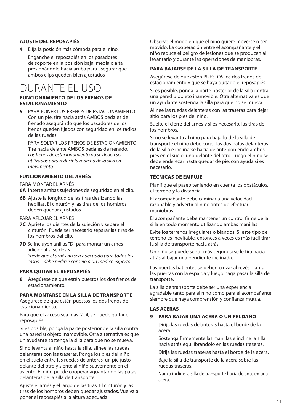#### **AJUSTE DEL REPOSAPIÉS**

**4** Elija la posición más cómoda para el niño.

 Enganche el reposapiés en los pasadores de soporte en la posición baja, media o alta presionándolo hacia arriba para asegurar que ambos clips queden bien ajustados

### DURANTE EL USO

#### **FUNCIONAMIENTO DE LOS FRENOS DE ESTACIONAMIENTO**

**5** PARA PONER LOS FRENOS DE ESTACIONAMIENTO: Con un pie, tire hacia atrás AMBOS pedales de frenado asegurándo que los pasadores de los frenos queden fijados con seguridad en los radios de las ruedas.

 PARA SOLTAR LOS FRENOS DE ESTACIONAMIENTO: Tire hacia delante AMBOS pedales de frenado. Los frenos de estacionamiento no se deben ser utilizados para reducir la marcha de la silla en movimiento

#### **FUNCIONAMIENTO DEL ARNÉS**

PARA MONTAR EL ARNÉS

**6A** Inserte ambas sujeciones de seguridad en el clip.

**6B** Ajuste la longitud de las tiras deslizando las hebillas. El cinturón y las tiras de los hombros deben quedar ajustados

PARA AFLOJAR EL ARNÉS

- **7C** Apriete los dientes de la sujeción y separe el cinturón. Puede ser necesario separar las tiras de los hombros del clip.
- **7D** Se incluyen anillas "D" para montar un arnés adicional si se desea. Puede que el arnés no sea adecuado para todos los casos – debe pedirse consejo a un médico experto.

#### **PARA QUITAR EL REPOSAPIÉS**

**8** Asegúrese de que estén puestos los dos frenos de estacionamiento.

#### **PARA MONTARSE EN LA SILLA DE TRANSPORTE**

 Asegúrese de que estén puestos los dos frenos de estacionamiento.

 Para que el acceso sea más fácil, se puede quitar el reposapiés.

Si es posible, ponga la parte posterior de la silla contra una pared u objeto inamovible. Otra alternativa es que un ayudante sostenga la silla para que no se mueva.

Si no levanta al niño hasta la silla, alinee las ruedas delanteras con las traseras. Ponga los pies del niño en el suelo entre las ruedas delanteras, un pie justo delante del otro y siente al niño suavemente en el asiento. El niño puede cooperar aguantando las patas delanteras de la silla de transporte.

Ajuste el arnés y el largo de las tiras. El cinturón y las tiras de los hombros deben quedar ajustados. Vuelva a poner el reposapiés a la altura adecuada.

 Observe el modo en que el niño quiere moverse o ser movido. La cooperación entre el acompañante y el niño reduce el peligro de lesiones que se producen al levantarlo y durante las operaciones de maniobras.

#### **PARA BAJARSE DE LA SILLA DE TRANSPORTE**

 Asegúrese de que estén PUESTOS los dos frenos de estacionamiento y que se haya quitado el reposapiés.

Si es posible, ponga la parte posterior de la silla contra una pared u objeto inamovible. Otra alternativa es que un ayudante sostenga la silla para que no se mueva.

Alinee las ruedas delanteras con las traseras para dejar sitio para los pies del niño.

 Suelte el cierre del arnés y si es necesario, las tiras de los hombros.

Si no se levanta al niño para bajarlo de la silla de transporte el niño debe coger las dos patas delanteras de la silla e inclinarse hacia delante poniendo ambos pies en el suelo, uno delante del otro. Luego el niño se debe enderezar hasta quedar de pie, con ayuda si es necesario.

#### **TÉCNICAS DE EMPUJE**

 Planifique el paseo teniendo en cuenta los obstáculos, el terreno y la distancia.

El acompañante debe caminar a una velocidad razonable y advertir al niño antes de efectuar maniobras.

El acompañante debe mantener un control firme de la silla en todo momento utilizando ambas manillas.

 Evite los terrenos irregulares o blandos. Si este tipo de terreno es inevitable, entonces a veces es más fácil tirar la silla de transporte hacia atrás.

Un niño se puede sentir más seguro si se le tira hacia atrás al bajar una pendiente inclinada.

Las puertas batientes se deben cruzar al revés – abra las puertas con la espalda y luego haga pasar la silla de transporte.

La silla de transporte debe ser una experiencia agradable tanto para el nino como para el acompañante siempre que haya comprensión y confianza mutua.

#### **LAS ACERAS**

#### **9 PARA BAJAR UNA ACERA O UN PELDAÑO**

 Dirija las ruedas delanteras hasta el borde de la acera.

 Sostenga firmemente las manillas e incline la silla hacia atrás equilibrandolo en las ruedas traseras.

Dirija las ruedas traseras hasta el borde de la acera.

 Baje la silla de transporte de la acera sobre las ruedas traseras.

Nunca incline la silla de transporte hacia delante en una acera.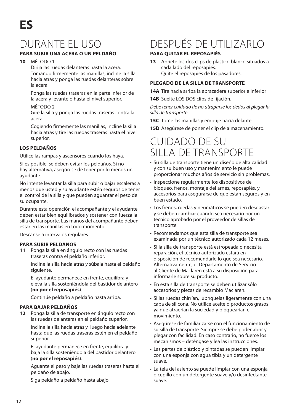# DURANTE EL USO

#### **PARA SUBIR UNA ACERA O UN PELDAÑO**

#### **10** MÉTODO 1

 Dirija las ruedas delanteras hasta la acera. Tomando firmemente las manillas, incline la silla hacia atrás y ponga las ruedas delanteras sobre la acera.

 Ponga las ruedas traseras en la parte inferior de la acera y levántelo hasta el nivel superior.

#### MÉTODO 2

 Gire la silla y ponga las ruedas traseras contra la acera.

 Cogiendo firmemente las manillas, incline la silla hacia atras y tire las ruedas traseras hasta el nivel superior.

#### **LOS PELDAÑOS**

Utilice las rampas y ascensores cuando los haya.

 Si es posible, se deben evitar los peldaños. Si no hay alternativa, asegúrese de tener por lo menos un ayudante.

 No intente levantar la silla para subir o bajar escaleras a menos que usted y su ayudante estén seguros de tener el control de la silla y que pueden aguantar el peso de su ocupante.

Durante esta operación el acompañante y el ayudante deben estar bien equilibrados y sostener con fuerza la silla de transporte. Las manos del acompañante deben estar en las manillas en todo momento.

Descanse a intervalos regulares.

#### **PARA SUBIR PELDAÑOS**

**11** Ponga la silla en ángulo recto con las ruedas traseras contra el peldaño inferior.

> Incline la silla hacia atrás y súbala hasta el peldaño siguiente.

 El ayudante permanece en frente, equilibra y eleva la silla sosteniéndola del bastidor delantero (**no por el reposapiés**).

Continúe peldaño a peldaño hasta arriba.

#### **PARA BAJAR PELDAÑOS**

**12** Ponga la silla de transporte en ángulo recto con las ruedas delanteras en el peldaño superior.

 Incline la silla hacia atrás y luego hacia adelante hasta que las ruedas traseras estén en el peldaño superior.

 El ayudante permanece en frente, equilibra y baja la silla sosteniéndola del bastidor delantero (**no por el reposapiés**).

 Aguante el peso y baje las ruedas traseras hasta el peldaño de abajo.

Siga peldaño a peldaño hasta abajo.

# DESPUÉS DE UTILIZARLO

#### **PARA QUITAR EL REPOSAPIÉS**

**13** Apriete los dos clips de plástico blanco situados a cada lado del reposapiés. Quite el reposapiés de los pasadores.

#### **PLEGADO DE LA SILLA DE TRANSPORTE**

- **14A** Tire hacia arriba la abrazadera superior e inferior
- **14B** Suelte LOS DOS clips de fijación.

Debe tener cuidado de no atraparse los dedos al plegar la silla de transporte.

**15C** Tome las manillas y empuje hacia delante.

**15D** Asegúrese de poner el clip de almacenamiento.

### CUIDADO DE SUSILLA DE TRANSPORTE

- Su silla de transporte tiene un diseño de alta calidad y con su buen uso y mantenimiento le puede proporcionar muchos años de servicio sin problemas.
- Inspeccione regularmente los dispositivos de bloqueo, frenos, montaje del arnés, reposapiés, y accesorios para asegurarse de que están seguros y en buen estado.
- Los frenos, ruedas y neumáticos se pueden desgastar y se deben cambiar cuando sea necesario por un técnico aprobado por el proveedor de sillas de transporte.
- Recomendamos que esta silla de transporte sea examinada por un técnico autorizado cada 12 meses.
- Si la silla de transporte está estropeada o necesita reparación, el técnico autorizado estará en disposición de recomendarle lo que sea necesario. Alternativamente, el Departamento de Servicio al Cliente de Maclaren está a su disposición para informarle sobre su producto.
- En esta silla de transporte se deben utilizar sólo accesorios y piezas de recambio Maclaren.
- Si las ruedas chirrían, lubríquelas ligeramente con una capa de silicona. No utilice aceite o productos grasos ya que atraerían la suciedad y bloquearían el movimiento.
- Asegúrese de familiarizarse con el funcionamiento de su silla de transporte. Siempre se debe poder abrir y plegar con facilidad. En caso contrario, no fuerce los mecanismos – deténgase y lea las instrucciones.
- Las partes de plástico y pintadas se pueden limpiar con una esponja con agua tibia y un detergente suave.
- La tela del asiento se puede limpiar con una esponja o cepillo con un detergente suave y/o desinfectante suave.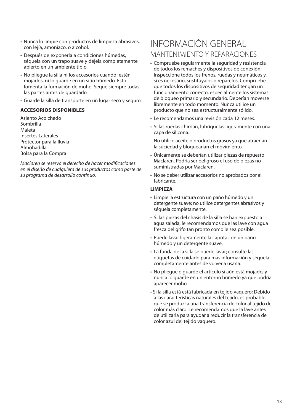- Nunca lo limpie con productos de limpieza abrasivos, con lejía, amoníaco, o alcohol.
- Después de exponerla a condiciones húmedas, séquela con un trapo suave y déjela completamente abierto en un ambiente tibio.
- No pliegue la silla ni los accesorios cuando estén mojados, ni lo guarde en un sitio húmedo. Esto fomenta la formación de moho. Seque siempre todas las partes antes de guardarlo.
- Guarde la silla de transporte en un lugar seco y seguro.

#### **ACCESORIOS DISPONIBLES**

Asiento AcolchadoSombrillaMaletaInsertes Laterales Protector para la lluvia AlmohadillaBolsa para la Compra

Maclaren se reserva el derecho de hacer modificaciones en el diseño de cualquiera de sus productos como parte de su programa de desarrollo continuo.

### INFORMACIÓN GENERALMANTENIMIENTO Y REPARACIONES

- Compruebe regularmente la seguridad y resistencia de todos los remaches y dispositivos de conexión. Inspeccione todos los frenos, ruedas y neumáticos y, si es necesario, sustitúyalos o repárelos. Compruebe que todos los dispositivos de seguridad tengan un funcionamiento correcto, especialmente los sistemas de bloqueo primario y secundario. Deberían moverse libremente en todo momento. Nunca utilice un producto que no sea estructuralmente sólido.
- Le recomendamos una revisión cada 12 meses.
- Si las ruedas chirrían, lubríquelas ligeramente con una capa de silicona.

 No utilice aceite o productos grasos ya que atraerían la suciedad y bloquearían el movimiento.

- Únicamente se deberían utilizar piezas de repuesto Maclaren. Podría ser peligroso el uso de piezas no suministradas por Maclaren.
- No se deber utilizar accesorios no aprobados por el fabricante.

#### **LIMPIEZA**

- Limpie la estructura con un paño húmedo y un detergente suave; no utilice detergentes abrasivos y séquela completamente.
- Si las piezas del chasis de la silla se han expuesto a agua salada, le recomendamos que las lave con agua fresca del grifo tan pronto como le sea posible.
- Puede lavar ligeramente la capota con un paño húmedo y un detergente suave.
- La funda de la silla se puede lavar; consulte las etiquetas de cuidado para más información y séquela completamente antes de volver a usarla.
- No pliegue o guarde el artículo si aún está mojado, y nunca lo guarde en un entorno húmedo ya que podría aparecer moho.
- Si la silla está está fabricada en tejido vaquero; Debido a las características naturales del tejido, es probable que se produzca una transferencia de color al tejido de color más claro. Le recomendamos que la lave antes de utilizarla para ayudar a reducir la transferencia de color azul del tejido vaquero.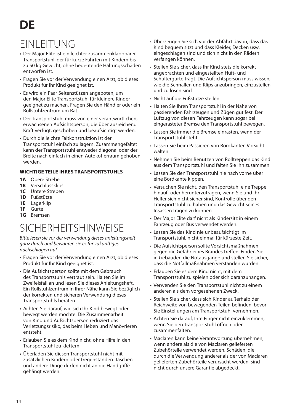# **DE**

# EINLEITUNG

- Der Major Elite ist ein leichter zusammenklappbarer Transportstuhl, der für kurze Fahrten mit Kindern bis zu 50 kg Gewicht, ohne bedeutende Haltungsschäden entworfen ist.
- Fragen Sie vor der Verwendung einen Arzt, ob dieses Produkt für Ihr Kind geeignet ist.
- Es wird ein Paar Seitenstützen angeboten, um den Major Elite Transportstuhl für kleinere Kinder geeignet zu machen. Fragen Sie den Händler oder ein Rollstuhlzentrum um Rat.
- Der Transportstuhl muss von einer verantwortlichen, erwachsenen Aufsichtsperson, die über ausreichend Kraft verfügt, geschoben und beaufsichtigt werden.
- Durch die leichte Faltkonstruktion ist der Transportstuhl einfach zu lagern. Zusammengefaltet kann der Transportstuhl entweder diagonal oder der Breite nach einfach in einen Autokofferraum gehoben werden.

#### **WICHTIGE TEILE IHRES TRANSPORTSTUHLS**

- **1A** Obere Strebe
- **1B** Verschlussklips
- **1C** Untere Streben
- **1D** Fußstütze
- **1E** Lagerklip
- **1F** Gurte
- **1G** Bremsen

# SICHERHEITSHINWEISE

Bitte lesen sie vor der verwendung dieses anleitungsheft ganz durch und bewahren sie es für zukünftiges nachschlagen auf.

- Fragen Sie vor der Verwendung einen Arzt, ob dieses Produkt für Ihr Kind geeignet ist.
- Die Aufsichtsperson sollte mit dem Gebrauch des Transportstuhls vertraut sein. Halten Sie im Zweifelsfall an und lesen Sie dieses Anleitungsheft. Ein Rollstuhlzentrum in Ihrer Nähe kann Sie bezüglich der korrekten und sicheren Verwendung dieses Transportstuhls beraten.
- Achten Sie darauf, wie sich Ihr Kind bewegt oder bewegt werden möchte. Die Zusammenarbeit von Kind und Aufsichtsperson reduziert das Verletzungsrisiko, das beim Heben und Manövrieren entsteht.
- Erlauben Sie es dem Kind nicht, ohne Hilfe in den Transportstuhl zu klettern.
- Überladen Sie diesen Transportstuhl nicht mit zusätzlichen Kindern oder Gegenständen. Taschen und andere Dinge dürfen nicht an die Handgriffe gehängt werden.
- Überzeugen Sie sich vor der Abfahrt davon, dass das Kind bequem sitzt und dass Kleider, Decken usw. eingeschlagen sind und sich nicht in den Rädern verfangen können.
- Stellen Sie sicher, dass Ihr Kind stets die korrekt angebrachten und eingestellten Hüft- und Schultergurte trägt. Die Aufsichtsperson muss wissen, wie die Schnallen und Klips anzubringen, einzustellen und zu lösen sind.
- Nicht auf die Fußstütze stellen.
- Halten Sie Ihren Transportstuhl in der Nähe von passierenden Fahrzeugen und Zügen gut fest. Der Luftzug von diesen Fahrzeugen kann sogar bei eingerasteter Bremse den Transportstuhl bewegen.
- Lassen Sie immer die Bremse einrasten, wenn der Transportstuhl steht.
- Lassen Sie beim Passieren von Bordkanten Vorsicht walten.
- Nehmen Sie beim Benutzen von Rolltreppen das Kind aus dem Transportstuhl und falten Sie ihn zusammen.
- Lassen Sie den Transportstuhl nie nach vorne über eine Bordkante kippen.
- Versuchen Sie nicht, den Transportstuhl eine Treppe hinauf- oder herunterzutragen, wenn Sie und Ihr Helfer sich nicht sicher sind, Kontrolle über den Transportstuhl zu haben und das Gewicht seines Insassen tragen zu können.
- Der Major Elite darf nicht als Kindersitz in einem Fahrzeug oder Bus verwendet werden.
- Lassen Sie das Kind nie unbeaufsichtigt im Transportstuhl, nicht einmal für kürzeste Zeit.
- Die Aufsichtsperson sollte Vorsichtsmaßnahmen gegen die Gefahr eines Brandes treffen. Finden Sie in Gebäuden die Notausgänge und stellen Sie sicher, dass die Notfallmaßnahmen verstanden wurden.
- Erlauben Sie es dem Kind nicht, mit dem Transportstuhl zu spielen oder sich daranzuhängen.
- Verwenden Sie den Transportstuhl nicht zu einem anderen als dem vorgesehenen Zweck.
- Stellen Sie sicher, dass sich Kinder außerhalb der Reichweite von bewegenden Teilen befinden, bevor Sie Einstellungen am Transportstuhl vornehmen.
- Achten Sie darauf, Ihre Finger nicht einzuklemmen, wenn Sie den Transportstuhl öffnen oder zusammenfalten.
- Maclaren kann keine Verantwortung übernehmen, wenn andere als die von Maclaren gelieferten Zubehörteile verwendet werden. Schäden, die durch die Verwendung anderer als der von Maclaren gelieferten Zubehörteile verursacht werden, sind nicht durch unsere Garantie abgedeckt.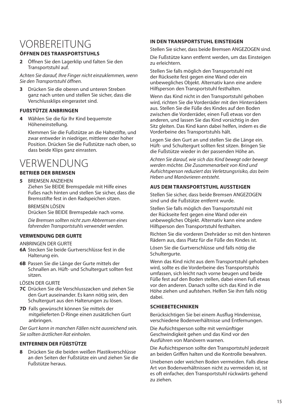# VORBEREITUNG

#### **ÖFFNEN DES TRANSPORTSTUHLS**

**<sup>2</sup>** Öffnen Sie den Lagerklip und falten Sie den Transportstuhl auf.

Achten Sie darauf, Ihre Finger nicht einzuklemmen, wenn Sie den Transportstuhl öffnen.

**3** Drücken Sie die oberen und unteren Streben ganz nach unten und stellen Sie sicher, dass die Verschlussklips eingerastet sind.

#### **FUßSTÜTZE ANBRINGEN**

**4** Wählen Sie die für Ihr Kind bequemste Höheneinstellung.

 Klemmen Sie die Fußstütze an die Haltestifte, und zwar entweder in niedriger, mittlerer oder hoher Position. Drücken Sie die Fußstütze nach oben, so dass beide Klips ganz einrasten.

# **VERWENDUNG**

#### **BETRIEB DER BREMSEN**

**5** BREMSEN ANZIEHEN Ziehen Sie BEIDE Bremspedale mit Hilfe eines Fußes nach hinten und stellen Sie sicher, dass die Bremsstifte fest in den Radspeichen sitzen.

BREMSEN LÖSEN

Drücken Sie BEIDE Bremspedale nach vorne.

 Die Bremsen sollten nicht zum Abbremsen eines fahrenden Transportstuhls verwendet werden.

#### **VERWENDUNG DER GURTE**

ANBRINGEN DER GURTE

- **6A** Stecken Sie beide Gurtverschlüsse fest in die Halterung ein.
- **6B** Passen Sie die Länge der Gurte mittels der Schnallen an. Hüft- und Schultergurt sollten fest sitzen.
- LÖSEN DER GURTE
- **7C** Drücken Sie die Verschlusszacken und ziehen Sie den Gurt auseinander. Es kann nötig sein, den Schultergurt aus den Halterungen zu lösen.
- **7D** Falls gewünscht können Sie mittels der mitgelieferten D-Ringe einen zusätzlichen Gurt anbringen.

Der Gurt kann in manchen Fällen nicht ausreichend sein. Sie sollten ärztlichen Rat einholen.

#### **ENTFERNEN DER FÜßSTÜTZE**

**8** Drücken Sie die beiden weißen Plastikverschlüsse an den Seiten der Fußstütze ein und ziehen Sie die Fußstütze heraus.

#### **IN DEN TRANSPORTSTUHL EINSTEIGEN**

Stellen Sie sicher, dass beide Bremsen ANGEZOGEN sind.

 Die Fußstütze kann entfernt werden, um das Einsteigen zu erleichtern.

 Stellen Sie falls möglich den Transportstuhl mit der Rückseite fest gegen eine Wand oder ein unbewegliches Objekt. Alternativ kann eine andere Hilfsperson den Transportstuhl festhalten.

 Wenn das Kind nicht in den Transportstuhl gehoben wird, richten Sie die Vorderräder mit den Hinterrädern aus. Stellen Sie die Füße des Kindes auf den Boden zwischen die Vorderräder, einen Fuß etwas vor den anderen, und lassen Sie das Kind vorsichtig in den Sitz gleiten. Das Kind kann dabei helfen, indem es die Vorderbeine des Transportstuhls hält.

 Legen Sie den Gurt an und stellen Sie die Länge ein. Hüft- und Schultergurt sollten fest sitzen. Bringen Sie die Fußstütze wieder in der passenden Höhe an.

Achten Sie darauf, wie sich das Kind bewegt oder bewegt werden möchte. Die Zusammenarbeit von Kind und Aufsichtsperson reduziert das Verletzungsrisiko, das beim Heben und Manövrieren entsteht.

#### **AUS DEM TRANSPORTSTUHL AUSSTEIGEN**

Stellen Sie sicher, dass beide Bremsen ANGEZOGEN sind und die Fußstütze entfernt wurde.

Stellen Sie falls möglich den Transportstuhl mit der Rückseite fest gegen eine Wand oder ein unbewegliches Objekt. Alternativ kann eine andere Hilfsperson den Transportstuhl festhalten.

 Richten Sie die vorderen Drehräder so mit den hinteren Rädern aus, dass Platz für die Füße des Kindes ist.

 Lösen Sie die Gurtverschlüsse und falls nötig die Schultergurte.

 Wenn das Kind nicht aus dem Transportstuhl gehoben wird, sollte es die Vorderbeine des Transportstuhls umfassen, sich leicht nach vorne beugen und beide Füße fest auf den Boden stellen, dabei einen Fuß etwas vor den anderen. Danach sollte sich das Kind in die Höhe ziehen und aufstehen. Helfen Sie ihm falls nötig dabei.

#### **SCHIEBETECHNIKEN**

 Berücksichtigen Sie bei einem Ausflug Hindernisse, verschiedene Bodenverhältnisse und Entfernungen.

 Die Aufsichtsperson sollte mit vernünftiger Geschwindigkeit gehen und das Kind vor den Ausführen von Manövern warnen.

Die Aufsichtsperson sollte den Transportstuhl jederzeit an beiden Griffen halten und die Kontrolle bewahren.

 Unebenen oder weichen Boden vermeiden. Falls diese Art von Bodenverhältnissen nicht zu vermeiden ist, ist es oft einfacher, den Transportstuhl rückwärts gehend zu ziehen.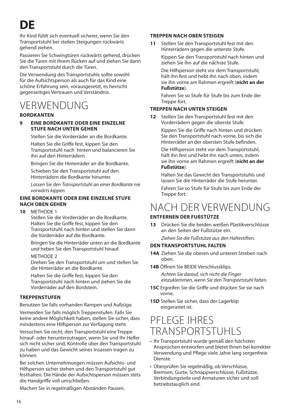**DE**

 Ihr Kind fühlt sich eventuell sicherer, wenn Sie den Transportstuhl bei steilen Steigungen rückwärts gehend ziehen.

 Passieren Sie Schwingtüren rückwärts gehend, drücken Sie die Türen mit Ihrem Rücken auf und ziehen Sie dann den Transportstuhl durch die Türen.

Die Verwendung des Transportstuhls sollte sowohl für die Aufsichtsperson als auch für das Kind eine schöne Erfahrung sein, vorausgesetzt, es herrscht gegenseitiges Vertrauen und Verständnis.

### VERWENDUNG

#### **BORDKANTEN**

#### **9 EINE BORDKANTE ODER EINE EINZELNE STUFE NACH UNTEN GEHEN**

 Stellen Sie die Vorderräder an die Bordkante. Halten Sie die Griffe fest, kippen Sie den Transportstuhl nach hinten und balancieren Sie ihn auf den Hinterrädern.

Bringen Sie die Hinterräder an die Bordkante.

 Schieben Sie den Transportstuhl auf den Hinterrädern die Bordkante hinunter.

 Lassen Sie den Transportstuhl an einer Bordkante nie vorwärts kippen.

#### **EINE BORDKANTE ODER EINE EINZELNE STUFE NACH OBEN GEHEN**

**10** METHODE 1

Stellen Sie die Vorderräder an die Bordkante. Halten Sie die Griffe fest, kippen Sie den Transportstuhl nach hinten und stellen Sie dann die Vorderräder auf die Bordkante.

 Bringen Sie die Hinterräder unten an die Bordkante und heben Sie den Transportstuhl hinauf.

#### METHODE 2

Drehen Sie den Transportstuhl um und stellen Sie die Hinterräder an die Bordkante.

 Halten Sie die Griffe fest, kippen Sie den Transportstuhl nach hinten und ziehen Sie die Vorderräder auf den Bordstein.

#### **TREPPENSTUFEN**

Benutzen Sie falls vorhanden Rampen und Aufzüge.

 Vermeiden Sie falls möglich Treppenstufen. Falls Sie keine andere Möglichkeit haben, stellen Sie sicher, dass mindestens eine Hilfsperson zur Verfügung steht.

 Versuchen Sie nicht, den Transportstuhl eine Treppe hinauf- oder herunterzutragen, wenn Sie und Ihr Helfer sich nicht sicher sind, Kontrolle über den Transportstuhl zu haben und das Gewicht seines Insassen tragen zu können.

 Bei solchen Unternehmungen müssen Aufsichts- und Hilfsperson sicher stehen und den Transportstuhl gut festhalten. Die Hände der Aufsichtsperson müssen stets die Handgriffe voll umschließen.

Machen Sie in regelmäßigen Abständen Pausen.

#### **TREPPEN NACH OBEN STEIGEN**

**11** Stellen Sie den Transportstuhl fest mit den Hinterrädern gegen die unterste Stufe.

> Kippen Sie den Transportstuhl nach hinten und ziehen Sie ihn auf die nächste Stufe.

> Die Hilfsperson steht vor dem Transportstuhl, hält ihn fest und hebt ihn nach oben, indem sie ihn vorne am Rahmen ergreift (**nicht an der Fußstütze**).

 Fahren Sie so Stufe für Stufe bis zum Ende der Treppe fort.

#### **TREPPEN NACH UNTEN STEIGEN**

**12** Stellen Sie den Transportstuhl fest mit den Vorderrädern gegen die oberste Stufe.

> Kippen Sie die Griffe nach hinten und drücken Sie den Transportstuhl nach vorne, bis sich die Hinterräder an der obersten Stufe befinden.

 Die Hilfsperson steht vor dem Transportstuhl, hält ihn fest und hebt ihn nach unten, indem sie ihn vorne am Rahmen ergreift (**nicht an der Fußstütze**).

 Halten Sie das Gewicht des Transportstuhls und lassen Sie die Hinterräder die Stufe herunter.Fahren Sie so Stufe für Stufe bis zum Ende der

Treppe fort.

## NACH DER VERWENDUNG

#### **ENTFERNEN DER FUßSTÜTZE**

**13** Drücken Sie die beiden weißen Plastikverschlüsse an den Seiten der Fußstütze ein.Ziehen Sie die Fußstütze aus den Haltestiften.

#### **DEN TRANSPORTSTUHL FALTEN**

- **14A** Ziehen Sie die oberen und unteren Streben nach oben.
- **14B** Öffnen Sie BEIDE Verschlussklips.

 Achten Sie darauf, sich nicht die Finger einzuklemmen, wenn Sie den Transportstuhl falten.

- **15C** Ergreifen Sie die Griffe und drücken Sie sie nach vorne.
- **15D** Stellen Sie sicher, dass der Lagerklip eingerastet ist.

### PFLEGE IHRES TRANSPORTSTUHLS

- Ihr Transportstuhl wurde gemäß den höchsten Ansprüchen entworfen und bietet Ihnen bei korrekter Verwendung und Pflege viele Jahre lang sorgenfreie Dienste.
- Überprüfen Sie regelmäßig, ob Verschlüsse, Bremsen, Gurte, Schnappverschlüsse, Fußstütze, Verbindungsteile und Armaturen sicher und voll betriebstauglich sind.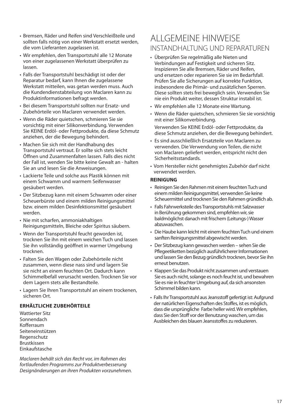- Bremsen, Räder und Reifen sind Verschleißteile und sollten falls nötig von einer Werkstatt ersetzt werden, die vom Lieferanten zugelassen ist.
- Wir empfehlen, den Transportstuhl alle 12 Monate von einer zugelassenen Werkstatt überprüfen zu lassen.
- Falls der Transportstuhl beschädigt ist oder der Reparatur bedarf, kann Ihnen die zugelassene Werkstatt mitteilen, was getan werden muss. Auch die Kundendienstabteilung von Maclaren kann zu Produktinformationen befragt werden.
- Bei diesem Transportstuhl sollten nur Ersatz- und Zubehörteile von Maclaren verwendet werden.
- Wenn die Räder quietschen, schmieren Sie sie vorsichtig mit einer Silikonverbindung. Verwenden Sie KEINE Erdöl- oder Fettprodukte, da diese Schmutz anziehen, der die Bewegung behindert.
- Machen Sie sich mit der Handhabung des Transportstuhl vertraut. Er sollte sich stets leicht Öffnen und Zusammenfalten lassen. Falls dies nicht der Fall ist, wenden Sie bitte keine Gewalt an - halten Sie an und lesen Sie die Anweisungen.
- Lackierte Teile und solche aus Plastik können mit einem Schwamm und warmem Seifenwasser gesäubert werden.
- Der Sitzbezug kann mit einem Schwamm oder einer Scheuerbürste und einem milden Reinigungsmittel bzw. einem milden Desinfektionsmittel gesäubert werden.
- Nie mit scharfen, ammoniakhaltigen Reinigungsmitteln, Bleiche oder Spiritus säubern.
- Wenn der Transportstuhl feucht geworden ist, trocknen Sie ihn mit einem weichen Tuch und lassen Sie ihn vollständig geöffnet in warmer Umgebung trocknen.
- Falten Sie den Wagen oder Zubehörteile nicht zusammen, wenn diese nass sind und lagern Sie sie nicht an einem feuchten Ort. Dadurch kann Schimmelbefall verursacht werden. Trocknen Sie vor dem Lagern stets alle Bestandteile.
- Lagern Sie Ihren Transportstuhl an einem trockenen, sicheren Ort.

#### **ERHÄLTLICHE ZUBEHÖRTEILE**

Wattierter SitzSonnendachKofferraum SeiteneinstützenRegenschutz Brustkissen Einkaufstasche

Maclaren behält sich das Recht vor, im Rahmen des fortlaufenden Programms zur Produktverbesserung Designänderungen an ihren Produkten vorzunehmen.

### ALLGEMEINE HINWEISEINSTANDHALTUNG UND REPARATUREN

- Überprüfen Sie regelmäßig alle Nieten und Verbindungen auf Festigkeit und sicheren Sitz. Inspizieren Sie alle Bremsen, Räder und Reifen, und ersetzen oder reparieren Sie sie im Bedarfsfall. Prüfen Sie alle Sicherungen auf korrekte Funktion, insbesondere die Primär- und zusätzlichen Sperren. Diese sollten stets frei beweglich sein. Verwenden Sie nie ein Produkt weiter, dessen Struktur instabil ist.
- Wir empfehlen alle 12 Monate eine Wartung.
- Wenn die Räder quietschen, schmieren Sie sie vorsichtig mit einer Silikonverbindung. Verwenden Sie KEINE Erdöl- oder Fettprodukte, da diese Schmutz anziehen, der die Bewegung behindert.
- Es sind ausschließlich Ersatzteile von Maclaren zu verwenden. Die Verwendung von Teilen, die nicht von Maclaren geliefert werden, entspricht nicht den Sicherheitsstandards.
- Vom Hersteller nicht genehmigtes Zubehör darf nicht verwendet werden.

#### **REINIGUNG**

- Reinigen Sie den Rahmen mit einem feuchten Tuch und einem milden Reinigungsmittel, verwenden Sie keine Scheuermittel und trocknen Sie den Rahmen gründlich ab.
- Falls Fahrwerksteile des Transportstuhls mit Salzwasser in Berührung gekommen sind, empfehlen wir, sie baldmöglichst danach mit frischem (Leitungs-) Wasser abzuwaschen.
- Die Haube kann leicht mit einem feuchten Tuch und einem sanften Reinigungsmittel abgewischt werden.
- Der Sitzbezug kann gewaschen werden sehen Sie die Pflegeetiketten bezüglich ausführlicherer Informationen und lassen Sie den Bezug gründlich trocknen, bevor Sie ihn erneut benutzen.
- Klappen Sie das Produkt nicht zusammen und verstauen Sie es auch nicht, solange es noch feucht ist, und bewahren Sie es nie in feuchter Umgebung auf, da sich ansonsten Schimmel bilden kann.
- Falls Ihr Transportstuhl aus Jeansstoff gefertigt ist: Aufgrund der natürlichen Eigenschaften des Stoffes, ist es möglich, dass die ursprüngliche Farbe heller wird. Wir empfehlen, dass Sie den Stoff vor der Benutzung waschen, um das Ausbleichen des blauen Jeansstoffes zu reduzieren.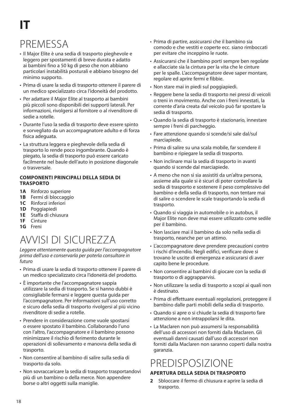# **IT**

# PREMESSA

- Il Major Elite è una sedia di trasporto pieghevole e leggero per spostamenti di breve durata e adatto ai bambini fino a 50 kg di peso che non abbiano particolari instabilità posturali e abbiano bisogno del minimo supporto.
- Prima di usare la sedia di trasporto ottenere il parere di un medico specializzato circa l'idoneità del prodotto.
- Per adattare il Major Elite al trasporto ai bambini più piccoli sono disponibili dei supporti laterali. Per informazioni, rivolgersi al fornitore o al rivenditore di sedie a rotelle.
- Durante l'uso la sedia di trasporto deve essere spinto e sorvegliato da un accompagnatore adulto e di forza fisica adeguata.
- La struttura leggera e pieghevole della sedia di trasporto lo rende poco ingombrante. Quando è piegato, la sedia di trasporto può essere caricato facilmente nel baule dell'auto in posizione diagonale o trasversale.

#### **COMPONENTI PRINCIPALI DELLA SEDIA DI TRASPORTO**

- **1A** Rinforzo superiore
- **1B** Fermi di bloccaggio
- **1C** Rinforzi inferiori
- **1D** Poggiapiedi
- **1E** Staffa di chiusura
- **1F** Cinture
- **1G** Freni

# AVVISI DI SICUREZZA

Leggere attentamente questa guida per l'accompagnatore prima dell'uso e conservarla per poterla consultare in futuro

- Prima di usare la sedia di trasporto ottenere il parere di un medico specializzato circa l'idoneità del prodotto.
- È importante che l'accompagnatore sappia utilizzare la sedia di trasporto. Se si hanno dubbi è consigliabile fermarsi e leggere questa guida per l'accompagnatore. Per informazioni sull'uso corretto e sicuro della sedia di trasporto rivolgersi al più vicino rivenditore di sedie a rotelle.
- Prendere in considerazione come vuole spostarsi o essere spostato il bambino. Collaborando l'uno con l'altro, l'accompagnatore e il bambino possono minimizzare il rischio di ferimento durante le operazioni di sollevamento e manovra della sedia di trasporto.
- Non consentire al bambino di salire sulla sedia di trasporto da solo.
- Non sovraccaricare la sedia di trasporto trasportandovi più di un bambino o della merce. Non appendere borse o altri oggetti sulla maniglie.
- Prima di partire, assicurarsi che il bambino sia comodo e che vestiti e coperte ecc. siano rimboccati per evitare che inceppino le ruote.
- Assicurarsi che il bambino porti sempre ben regolate e allacciate sia la cintura per la vita che le cinture per le spalle. L'accompagnatore deve saper montare, regolare ed aprire fermi e fibbie.
- Non stare mai in piedi sul poggiapiedi.
- Reggere bene la sedia di trasporto nei pressi di veicoli o treni in movimento. Anche con i freni innestati, la corrente d'aria creata dal veicolo può far spostare la sedia di trasporto.
- Quando la sedia di trasporto è stazionario, innestare sempre i freni di parcheggio.
- Fare attenzione quando si scende/si sale dal/sul marciapiede.
- Prima di salire su una scala mobile, far scendere il bambino e ripiegare la sedia di trasporto.
- Non inclinare mai la sedia di trasporto in avanti quando si scende dal marciapiede.
- A meno che non si sia assistiti da un'altra persona, assieme alla quale si è sicuri di poter controllare la sedia di trasporto e sostenere il peso complessivo del bambino e della sedia di trasporto, non tentare mai di salire o scendere le scale trasportando la sedia di trasporto.
- Quando si viaggia in automobile o in autobus, il Major Elite non deve mai essere utilizzato come sedile per il bambino.
- Non lasciare mai il bambino da solo nella sedia di trasporto, neanche per un attimo.
- L'accompagnatore deve prendere precauzioni contro i rischi d'incendio. Negli edifici, verificare dove si trovano le uscite di emergenza e assicurarsi di aver capito bene le procedure.
- Non consentire ai bambini di giocare con la sedia di trasporto o di aggrapparvisi.
- Non utilizzare la sedia di trasporto a scopi ai quali non è destinato.
- Prima di effettuare eventuali regolazioni, proteggere il bambino dalle parti mobili della sedia di trasporto.
- Quando si apre o si chiude la sedia di trasporto fare attenzione a non intrappolarsi le dita.
- La Maclaren non può assumersi la responsabilità dell'uso di accessori non forniti dalla Maclaren. Gli eventuali danni causati dall'uso di accessori non forniti dalla Maclaren non saranno coperti dalla nostra garanzia.

# PREDISPOSIZIONE

#### **APERTURA DELLA SEDIA DI TRASPORTO**

**2** Sbloccare il fermo di chiusura e aprire la sedia di trasporto.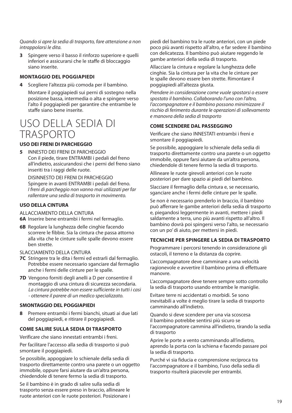Quando si apre la sedia di trasporto, fare attenzione a non intrappolarsi le dita.

**3** Spingere verso il basso il rinforzo superiore e quelli inferiori e assicurarsi che le staffe di bloccaggio siano inserite.

#### **MONTAGGIO DEL POGGIAPIEDI**

**4** Scegliere l'altezza più comoda per il bambino.

 Montare il poggiapiedi sui perni di sostegno nella posizione bassa, intermedia o alta e spingere verso l'alto il poggiapiedi per garantire che entrambe le staffe siano bene inserite.

### USO DELLA SEDIA DI TRASPORTO

#### **USO DEI FRENI DI PARCHEGGIO**

**5** INNESTO DEI FRENI DI PARCHEGGIOCon il piede, tirare ENTRAMBI i pedali del freno all'indietro, assicurandosi che i perni del freno siano inseriti tra i raggi delle ruote.

 DISINNESTO DEI FRENI DI PARCHEGGIOSpingere in avanti ENTRAMBI i pedali del freno. I freni di parcheggio non vanno mai utilizzati per far rallentare una sedia di trasporto in movimento.

#### **USO DELLA CINTURA**

ALLACCIAMENTO DELLA CINTURA

- **6A** Inserire bene entrambi i fermi nel fermaglio.
- **6B** Regolare la lunghezza delle cinghie facendo scorrere le fibbie. Sia la cintura che passa attorno alla vita che le cinture sulle spalle devono essere ben strette.
- SLACCIAMENTO DELLA CINTURA
- **7C** Stringere tra le dita i fermi ed estrarli dal fermaglio. Potrebbe essere necessario sganciare dal fermaglio anche i fermi delle cinture per le spalle.
- **7D** Vengono forniti degli anelli a D per consentire il montaggio di una cintura di sicurezza secondaria. La cintura potrebbe non essere sufficiente in tutti i casi - ottenere il parere di un medico specializzato.

#### **SMONTAGGIO DEL POGGIAPIEDI**

**8** Premere entrambi i fermi bianchi, situati ai due lati del poggiapiedi, e ritirare il poggiapiedi.

#### **COME SALIRE SULLA SEDIA DI TRASPORTO**

Verificare che siano innestati entrambi i freni.

 Per facilitare l'accesso alla sedia di trasporto si può smontare il poggiapiedi.

 Se possibile, appoggiare lo schienale della sedia di trasporto direttamente contro una parete o un oggetto immobile, oppure farsi aiutare da un'altra persona, chiedendole di tenere fermo la sedia di trasporto.

 Se il bambino è in grado di salire sulla sedia di trasporto senza essere preso in braccio, allineare le ruote anteriori con le ruote posteriori. Posizionare i piedi del bambino tra le ruote anteriori, con un piede poco più avanti rispetto all'altro, e far sedere il bambino con delicatezza. Il bambino può aiutare reggendo le gambe anteriori della sedia di trasporto.

 Allacciare la cintura e regolare la lunghezza delle cinghie. Sia la cintura per la vita che le cinture per le spalle devono essere ben strette. Rimontare il poggiapiedi all'altezza giusta.

Prendere in considerazione come vuole spostarsi o essere spostato il bambino. Collaborando l'uno con l'altro, l'accompagnatore e il bambino possono minimizzare il rischio di ferimento durante le operazioni di sollevamento e manovra della sedia di trasporto

#### **COME SCENDERE DAL PASSEGGINO**

Verificare che siano INNESTATI entrambi i freni e smontare il poggiapiedi.

Se possibile, appoggiare lo schienale della sedia di trasporto direttamente contro una parete o un oggetto immobile, oppure farsi aiutare da un'altra persona, chiedendole di tenere fermo la sedia di trasporto.

Allineare le ruote girevoli anteriori con le ruote posteriori per dare spazio ai piedi del bambino.

Slacciare il fermaglio della cintura e, se necessario, sganciare anche i fermi delle cinture per le spalle.

Se non è necessario prenderlo in braccio, il bambino può afferrare le gambe anteriori della sedia di trasporto e, piegandosi leggermente in avanti, mettere i piedi saldamente a terra, uno più avanti rispetto all'altro. Il bambino dovrà poi spingersi verso l'alto, se necessario con un po' di aiuto, per mettersi in piedi.

#### **TECNICHE PER SPINGERE LA SEDIA DI TRASPORTO**

Programmare i percorsi tenendo in considerazione gli ostacoli, il terreno e la distanza da coprire.

 L'accompagnatore deve camminare a una velocità ragionevole e avvertire il bambino prima di effettuare manovre.

 L'accompagnatore deve tenere sempre sotto controllo la sedia di trasporto usando entrambe le maniglie.

 Evitare terre ni accidentati o morbidi. Se sono inevitabili a volte è meglio tirare la sedia di trasporto camminando all'indietro.

Quando si deve scendere per una via scoscesa il bambino potrebbe sentirsi più sicuro se l'accompagnatore cammina all'indietro, tirando la sedia di trasporto

Aprire le porte a vento camminando all'indietro, aprendo la porta con la schiena e facendo passare poi la sedia di trasporto.

 Purché vi sia fiducia e comprensione reciproca tra l'accompagnatore e il bambino, l'uso della sedia di trasporto risulterà piacevole per entrambi.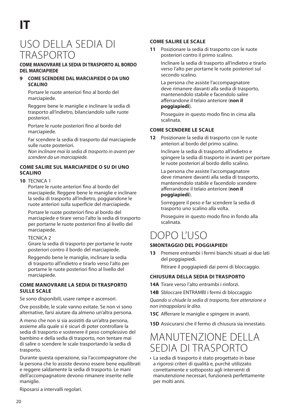### USO DELLA SEDIA DI TRASPORTO

#### **COME MANOVRARE LA SEDIA DI TRASPORTO AL BORDO DEL MARCIAPIEDE**

#### **9 COME SCENDERE DAL MARCIAPIEDE O DA UNO SCALINO**

 Portare le ruote anteriori fino al bordo del marciapiede.

 Reggere bene le maniglie e inclinare la sedia di trasporto all'indietro, bilanciandolo sulle ruote posteriori.

 Portare le ruote posteriori fino al bordo del marciapiede.

 Far scendere la sedia di trasporto dal marciapiede sulle ruote posteriori.

Non inclinare mai la sedia di trasporto in avanti per scendere da un marciapiede.

#### **COME SALIRE SUL MARCIAPIEDE O SU DI UNO SCALINO**

#### **10** TECNICA 1

 Portare le ruote anteriori fino al bordo del marciapiede. Reggere bene le maniglie e inclinare la sedia di trasporto all'indietro, poggiandone le ruote anteriori sulla superficie del marciapiede.

 Portare le ruote posteriori fino al bordo del marciapiede e tirare verso l'alto la sedia di trasporto per portarne le ruote posteriori fino al livello del marciapiede.

#### TECNICA 2

 Girare la sedia di trasporto per portarne le ruote posteriori contro il bordo del marciapiede.

 Reggendo bene le maniglie, inclinare la sedia di trasporto all'indietro e tirarlo verso l'alto per portarne le ruote posteriori fino al livello del marciapiede.

#### **COME MANOVRARE LA SEDIA DI TRASPORTO SULLE SCALE**

Se sono disponibili, usare rampe e ascensori.

 Ove possibile, le scale vanno evitate. Se non vi sono alternative, farsi aiutare da almeno un'altra persona.

A meno che non si sia assistiti da un'altra persona, assieme alla quale si è sicuri di poter controllare la sedia di trasporto e sostenere il peso complessivo del bambino e della sedia di trasporto, non tentare mai di salire o scendere le scale trasportando la sedia di trasporto.

 Durante questa operazione, sia l'accompagnatore che la persona che lo assiste devono essere bene equilibrati e reggere saldamente la sedia di trasporto. Le mani dell'accompagnatore devono rimanere inserite nelle maniglie.

#### Riposarsi a intervalli regolari.

#### **COME SALIRE LE SCALE**

**11** Posizionare la sedia di trasporto con le ruote posteriori contro il primo scalino.

 Inclinare la sedia di trasporto all'indietro e tirarlo verso l'alto per portarne le ruote posteriori sul secondo scalino.

 La persona che assiste l'accompagnatore deve rimanere davanti alla sedia di trasporto, mantenendolo stabile e facendolo salire afferrandone il telaio anteriore (**non il** 

#### **poggiapiedi**).

 Proseguire in questo modo fino in cima alla scalinata.

#### **COME SCENDERE LE SCALE**

**12** Posizionare la sedia di trasporto con le ruote anteriori al bordo del primo scalino.

 Inclinare la sedia di trasporto all'indietro e spingere la sedia di trasporto in avanti per portare le ruote posteriori al bordo dello scalino.

 La persona che assiste l'accompagnatore deve rimanere davanti alla sedia di trasporto, mantenendolo stabile e facendolo scendere afferrandone il telaio anteriore (**non il poggiapiedi**).

 Sorreggere il peso e far scendere la sedia di trasporto uno scalino alla volta.

 Proseguire in questo modo fino in fondo alla scalinata.

### DOPO L'USO

#### **SMONTAGGIO DEL POGGIAPIEDI**

**13** Premere entrambi i fermi bianchi situati ai due lati del poggiapiedi. Ritirare il poggiapiedi dai perni di bloccaggio.

#### **CHIUSURA DELLA SEDIA DI TRASPORTO**

- **14A** Tirare verso l'alto entrambi i rinforzi.
- **14B** Sbloccare ENTRAMBI i fermi di bloccaggio

Quando si chiude la sedia di trasporto, fare attenzione a non intrappolarsi le dita.

- **15C** Afferrare le maniglie e spingere in avanti.
- **15D** Assicurarsi che il fermo di chiusura sia innestato.

### MANUTENZIONE DELLA SEDIA DI TRASPORTO

• La sedia di trasporto è stato progettato in base a rigorosi criteri di qualità e, purché utilizzato correttamente e sottoposto agli interventi di manutenzione necessari, funzionerà perfettamente per molti anni.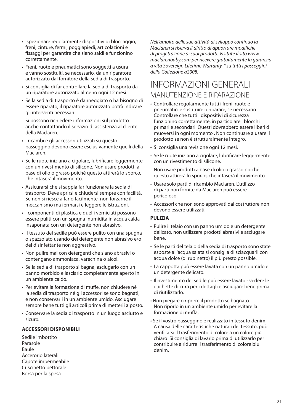- Ispezionare regolarmente dispositivi di bloccaggio, freni, cinture, fermi, poggiapiedi, articolazioni e fissaggi per garantire che siano saldi e funzionino correttamente.
- Freni, ruote e pneumatici sono soggetti a usura e vanno sostituiti, se necessario, da un riparatore autorizzato dal fornitore della sedia di trasporto.
- Si consiglia di far controllare la sedia di trasporto da un riparatore autorizzato almeno ogni 12 mesi.
- Se la sedia di trasporto è danneggiato o ha bisogno di essere riparato, il riparatore autorizzato potrà indicare gli interventi necessari.

 Si possono richiedere informazioni sul prodotto anche contattando il servizio di assistenza al cliente della Maclaren.

- I ricambi e gli accessori utilizzati su questo passeggino devono essere esclusivamente quelli della Maclaren.
- Se le ruote iniziano a cigolare, lubrificare leggermente con un rivestimento di silicone. Non usare prodotti a base di olio o grasso poiché questo attirerà lo sporco, che intaserà il movimento.
- Assicurarsi che si sappia far funzionare la sedia di trasporto. Deve aprirsi e chiudersi sempre con facilità. Se non si riesce a farlo facilmente, non forzarne il meccanismo ma fermarsi e leggere le istruzioni.
- I componenti di plastica e quelli verniciati possono essere puliti con un spugna inumidita in acqua calda insaponata con un detergente non abrasivo.
- Il tessuto del sedile può essere pulito con una spugna o spazzolato usando del detergente non abrasivo e/o del disinfettante non aggressivo.
- Non pulire mai con detergenti che siano abrasivi o contengano ammoniaca, varechina o alcol.
- Se la sedia di trasporto si bagna, asciugarlo con un panno morbido e lasciarlo completamente aperto in un ambiente caldo.
- Per evitare la formazione di muffe, non chiudere né la sedia di trasporto né gli accessori se sono bagnati, e non conservarli in un ambiente umido. Asciugare sempre bene tutti gli articoli prima di metterli a posto.
- Conservare la sedia di trasporto in un luogo asciutto e sicuro.

#### **ACCESSORI DISPONIBILI**

Sedile imbottitoParasoleBauleAccerorio lateraliCapote impermeabile Cuscinetto pettorale Borsa per la spesa

Nell'ambito delle sue attività di sviluppo continuo la Maclaren si riserva il diritto di apportare modifiche di progettazione ai suoi prodotti. Visitate il sito www. maclarenbaby.com per ricevere gratuitamente la garanzia a vita Sovereign Lifetime Warranty™ su tutti i passeggini della Collezione a2008.

### INFORMAZIONI GENERALIMANUTENZIONE E RIPARAZIONE

- Controllare regolarmente tutti i freni, ruote e pneumatici e sostituire o riparare, se necessario. Controllare che tutti i dispositivi di sicurezza funzionino correttamente, in particolare i blocchi primari e secondari. Questi dovrebbero essere liberi di muoversi in ogni momento . Non continuare a usare il prodotto se non è strutturalmente integro.
- Si consiglia una revisione ogni 12 mesi.
- Se le ruote iniziano a cigolare, lubrificare leggermente con un rivestimento di silicone.

 Non usare prodotti a base di olio o grasso poiché questo attirerà lo sporco, che intaserà il movimento.

- Usare solo parti di ricambio Maclaren. L'utilizzo di parti non fornite da Maclaren può essere pericoloso.
- Accessori che non sono approvati dal costruttore non devono essere utilizzati.

#### **PULIZIA**

- Pulire il telaio con un panno umido e un detergente delicato, non utilizzare prodotti abrasivi e asciugare bene.
- Se le parti del telaio della sedia di trasporto sono state esposte all'acqua salata si consiglia di sciacquarli con acqua dolce (di rubinetto) il più presto possible.
- La cappotta può essere lavata con un panno umido e un detergente delicato.
- Il rivestimento del sedile può essere lavato vedere le etichette di cura per i dettagli e asciugare bene prima di riutilizzarlo.
- Non piegare o riporre il prodotto se bagnato. Non riporlo in un ambiente umido per evitare la formazione di muffa.
- Se il vostro passeggino è realizzato in tessuto denim. A causa delle caratteristiche naturali del tessuto, può verificarsi il trasferimento di colore a un colore più chiaro Si consiglia di lavarlo prima di utilizzarlo per contribuire a ridurre il trasferimento di colore blu denim.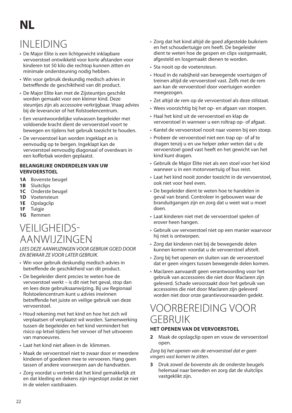# **NL**

# INLEIDING

- De Major Elite is een lichtgewicht inklapbare vervoerstoel ontwikkeld voor korte afstanden voor kinderen tot 50 kilo die rechtop kunnen zitten en minimale ondersteuning nodig hebben.
- Win voor gebruik deskundig medisch advies in betreffende de geschiktheid van dit product.
- De Major Elite kan met de Zijsteuntjes geschikt worden gemaakt voor een kleiner kind. Deze steuntjes zijn als accessoire verkrijgbaar. Vraag advies bij de leverancier of het Rolstoelencentrum.
- Een verantwoordelijke volwassen begeleider met voldoende kracht dient de vervoerstoel voort te bewegen en tijdens het gebruik toezicht te houden.
- De vervoerstoel kan worden ingeklapt en is eenvoudig op te bergen. Ingeklapt kan de vervoerstoel eenvoudig diagonaal of overdwars in een kofferbak worden geplaatst.

#### **BELANGRIJKE ONDERDELEN VAN UW VERVOERSTOEL**

- **1A** Bovenste beugel
- **1B** Sluitclips
- **1C** Onderste beugel
- **1D** Voetensteun
- **1E** Opslagclip
- **1F** Tuigje
- **1G** Remmen

### VEILIGHEIDS-AANWIJZINGEN

LEES DEZE AANWIJZINGEN VOOR GEBRUIK GOED DOOR EN BEWAAR ZE VOOR LATER GEBRUIK.

- Win voor gebruik deskundig medisch advies in betreffende de geschiktheid van dit product.
- De begeleider dient precies te weten hoe de vervoerstoel werkt – is dit niet het geval, stop dan en lees deze gebruiksaanwijzing. Bij uw Regionaal Rolstoelencentrum kunt u advies inwinnen betreffende het juiste en veilige gebruik van deze vervoerstoel.
- Houd rekening met het kind en hoe het zich wil verplaatsen of verplaatst wil worden. Samenwerking tussen de begeleider en het kind vermindert het risico op letsel tijdens het vervoer of het uitvoeren van manoeuvres.
- Laat het kind niet alleen in de klimmen.
- Maak de vervoerstoel niet te zwaar door er meerdere kinderen of goederen mee te vervoeren. Hang geen tassen of andere voorwerpen aan de handvatten.
- Zorg voordat u vertrekt dat het kind gemakkelijk zit en dat kleding en dekens zijn ingestopt zodat ze niet in de wielen vastdraaien.
- Zorg dat het kind altijd de goed afgestelde buikriem en het schoudertuigje om heeft. De begeleider dient te weten hoe de gespen en clips vastgemaakt, afgesteld en losgemaakt dienen te worden.
- Sta nooit op de voetensteun.
- Houd in de nabijheid van bewegende voertuigen of treinen altijd de vervoerstoel vast. Zelfs met de rem aan kan de vervoerstoel door voertuigen worden meegezogen.
- Zet altijd de rem op de vervoerstoel als deze stilstaat.
- Wees voorzichtig bij het op- en afgaan van stoepen.
- Haal het kind uit de vervoerstoel en klap de vervoerstoel in wanneer u een roltrap op- of afgaat.
- Kantel de vervoerstoel nooit naar voeren bij een stoep.
- Probeer de vervoerstoel niet een trap op- of af te dragen tenzij u en uw helper zeker weten dat u de vervoerstoel goed vast heeft en het gewicht van het kind kunt dragen.
- Gebruik de Major Elite niet als een stoel voor het kind wanneer u in een motorvoertuig of bus reist.
- Laat het kind nooit zonder toezicht in de vervoerstoel, ook niet voor heel even.
- De begeleider dient te weten hoe te handelen in geval van brand. Controleer in gebouwen waar de branduitgangen zijn en zorg dat u weet wat u moet doen.
- Laat kinderen niet met de vervoerstoel spelen of erover heen hangen.
- Gebruik uw vervoerstoel niet op een manier waarvoor hij niet is ontworpen.
- Zorg dat kinderen niet bij de bewegende delen kunnen komen voordat u de vervoerstoel afstelt.
- Zorg bij het openen en sluiten van de vervoerstoel dat er geen vingers tussen bewegende delen komen.
- Maclaren aanvaardt geen verantwoording voor het gebruik van accessoires die niet door Maclaren zijn geleverd. Schade veroorzaakt door het gebruik van accessoires die niet door Maclaren zijn geleverd worden niet door onze garantievoorwaarden gedekt.

### VOORBEREIDING VOOR GEBRUIK

#### **HET OPENEN VAN DE VERVOERSTOEL**

**2** Maak de opslagclip open en vouw de vervoerstoel open.

Zorg bij het openen van de vervoerstoel dat er geen vingers vast komen te zitten.

**3** Druk zowel de bovenste als de onderste beugels helemaal naar beneden en zorg dat de sluitclips vastgeklikt zijn.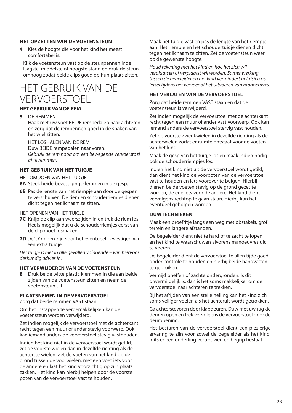#### **HET OPZETTEN VAN DE VOETENSTEUN**

**4** Kies de hoogte die voor het kind het meest comfortabel is.

 Klik de voetensteun vast op de steunpennen inde laagste, middelste of hoogste stand en druk de steun omhoog zodat beide clips goed op hun plaats zitten.

### HET GEBRUIK VAN DE VERVOERSTOEL

#### **HET GEBRUIK VAN DE REM**

**5** DE REMMEN

Haak met uw voet BEIDE rempedalen naar achteren en zorg dat de rempennen goed in de spaken van het wiel zitten.

HET LOSHALEN VAN DE REM

Duw BEIDE rempedalen naar voren.

Gebruik de rem nooit om een bewegende vervoerstoel af te remmen.

#### **HET GEBRUIK VAN HET TUIGJE**

HET OMDOEN VAN HET TUIGJE

- **6A** Steek beide bevestigingsklemmen in de gesp.
- **6B** Pas de lengte van het riempje aan door de gespen te verschuiven. De riem en schouderriemjes dienen dicht tegen het lichaam te zitten.

#### HET OPENEN VAN HET TUIGJE

- **7C** Knijp de clip aan weerszijden in en trek de riem los. Het is mogelijk dat u de schouderriemjes eerst van de clip moet losmaken.
- **7D** De 'D' ringen zijn voor het eventueel bevestigen van een extra tuigje.

 Het tuigje is niet in alle gevallen voldoende – win hiervoor deskundig advies in.

#### **HET VERWIJDEREN VAN DE VOETENSTEUN**

**8** Druk beide witte plastic klemmen in die aan beide zijden van de voetensteun zitten en neem de voetensteun uit.

#### **PLAATSNEMEN IN DE VERVOERSTOEL**

Zorg dat beide remmen VAST staan.

Om het instappen te vergemakkelijken kan de voetensteun worden verwijderd.

 Zet indien mogelijk de vervoerstoel met de achterkant recht tegen een muur of ander stevig voorwerp. Ook kan iemand anders de vervoerstoel stevig vasthouden.

 Indien het kind niet in de vervoerstoel wordt getild, zet de voorste wielen dan in dezelfde richting als de achterste wielen. Zet de voeten van het kind op de grond tussen de voorwielen, met een voet iets voor de andere en laat het kind voorzichtig op zijn plaats zakken. Het kind kan hierbij helpen door de voorste poten van de vervoerstoel vast te houden.

 Maak het tuigje vast en pas de lengte van het riempje aan. Het riempie en het schoudertuigje dienen dicht tegen het lichaam te zitten. Zet de voetensteun weer op de gewenste hoogte.

Houd rekening met het kind en hoe het zich wil verplaatsen of verplaatst wil worden. Samenwerking tussen de begeleider en het kind vermindert het risico op letsel tijdens het vervoer of het uitvoeren van manoeuvres.

#### **HET VERLATEN VAN DE VERVOERSTOEL**

Zorg dat beide remmen VAST staan en dat de voetensteun is verwijderd.

 Zet indien mogelijk de vervoerstoel met de achterkant recht tegen een muur of ander vast voorwerp. Ook kan iemand anders de vervoerstoel stervig vast houden.

 Zet de voorste zwenkwielen in dezelfde richting als de achterwielen zodat er ruimte ontstaat voor de voeten van het kind.

 Maak de gesp van het tuigje los en maak indien nodig ook de schouderriempjes los.

 Indien het kind niet uit de vervoerstoel wordt getild, dan dient het kind de voorpoten van de vervoerstoel vast te houden en iets voorover te buigen. Hierbij dienen beide voeten stevig op de grond gezet te worden, de ene iets voor de andere. Het kind dient vervolgens rechtop te gaan staan. Hierbij kan het eventueel geholpen worden.

#### **DUWTECHNIEKEN**

Maak een proefritje langs een weg met obstakels, grof terrein en langere afstanden.

De begeleider dient niet te hard of te zacht te lopen en het kind te waarschuwen alvorens manoeuvres uit te voeren.

 De begeleider dient de vervoerstoel te allen tijde goed onder controle te houden en hierbij beide handvatten te gebruiken.

Vermijd oneffen of zachte ondergronden. Is dit onvermijdelijk is, dan is het soms makkelijker om de vervoerstoel naar achteren te trekken.

 Bij het afrijden van een steile helling kan het kind zich soms veiliger voelen als het achteruit wordt getrokken.

Ga achterstevoren door klapdeuren. Duw met uw rug de deuren open en trek vervolgens de vervoerstoel door de deuropening.

Het besturen van de vervoerstoel dient een plezierige ervaring te zijn voor zowel de begeleider als het kind, mits er een onderling vertrouwen en begrip bestaat.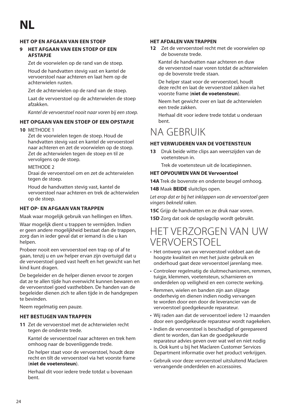#### **HET OP EN AFGAAN VAN EEN STOEP**

#### **9 HET AFGAAN VAN EEN STOEP OF EEN AFSTAPJE**

Zet de voorwielen op de rand van de stoep.

 Houd de handvatten stevig vast en kantel de vervoerstoel naar achteren en laat hem op de achterwielen rusten.

Zet de achterwielen op de rand van de stoep.

 Laat de vervoerstoel op de achterwielen de stoep afzakken.

Kantel de vervoerstoel nooit naar voren bij een stoep.

#### **HET OPGAAN VAN EEN STOEP OF EEN OPSTAPJE**

#### **10** METHODE 1

 Zet de voorwielen tegen de stoep. Houd de handvatten stevig vast en kantel de vervoerstoel naar achteren en zet de voorwielen op de stoep. Zet de achterwielen tegen de stoep en til ze vervolgens op de stoep.

#### METHODE<sub>2</sub>

 Draai de vervoerstoel om en zet de achterwielen tegen de stoep.

 Houd de handvatten stevig vast, kantel de vervoerstoel naar achteren en trek de achterwielen op de stoep.

#### **HET OP EN AFGAAN VAN TRAPPEN**

Maak waar mogelijk gebruik van hellingen en liften.

 Waar mogelijk dient u trappen te vermijden. Indien er geen andere mogelijkheid bestaat dan de trappen, zorg dan in ieder geval dat er iemand is die u kan helpen.

 Probeer nooit een vervoerstoel een trap op of af te gaan, tenzij u en uw helper ervan zijn overtuigd dat u de vervoerstoel goed vast heeft en het gewicht van het kind kunt dragen.

De begeleider en de helper dienen ervoor te zorgen dat ze te allen tijde hun evenwicht kunnen bewaren en de vervoerstoel goed vasthebben. De handen van de begeleider dienen zich te allen tijde in de handgrepen te bevinden.

Neem regelmatig een pauze.

#### **HET BESTIJGEN VAN TRAPPEN**

**11** Zet de vervoerstoel met de achterwielen recht tegen de onderste trede.

 Kantel de vervoerstoel naar achteren en trek hem omhoog naar de bovenliggende trede.

 De helper staat voor de vervoerstoel, houdt deze recht en tilt de vervoerstoel via het voorste frame (**niet de voetensteun**).

 Herhaal dit voor iedere trede totdat u bovenaan bent.

#### **HET AFDALEN VAN TRAPPEN**

**12** Zet de vervoerstoel recht met de voorwielen op de bovenste trede.

 Kantel de handvatten naar achteren en duw de vervoerstoel naar voren totdat de achterwielen op de bovenste trede staan.

 De helper staat voor de vervoerstoel, houdt deze recht en laat de vervoerstoel zakken via het voorste frame (**niet de voetensteun**).

 Neem het gewicht over en laat de achterwielen een trede zakken.

 Herhaal dit voor iedere trede totdat u onderaan bent.

### NA GEBRUIK

#### **HET VERWIJDEREN VAN DE VOETENSTEUN**

**13** Druk beide witte clips aan weerszijden van de voetensteun in.

Trek de voetensteun uit de locatiepinnen.

#### **HET OPVOUWEN VAN DE Vervoerstoel**

**14A** Trek de bovenste en onderste beugel omhoog.

#### **14B** Maak **BEIDE** sluitclips open.

 Let erop dat er bij het inklappen van de vervoerstoel geen vingers bekneld raken.

**15C** Grijp de handvatten en ze druk naar voren.

**15D** Zorg dat ook de opslagclip wordt gebruikt.

### HET VERZORGEN VAN UW VERVOERSTOEL

- Het ontwerp van uw vervoerstoel voldoet aan de hoogste kwaliteit en met het juiste gebruik en onderhoud gaat deze vervoerstoel jarenlang mee.
- Controleer regelmatig de sluitmechanismen, remmen, tuigje, klemmen, voetensteun, scharnieren en onderdelen op veiligheid en een correcte werking.
- Remmen, wielen en banden zijn aan slijtage onderhevig en dienen indien nodig vervangen te worden door een door de leverancier van de vervoerstoel goedgekeurde reparateur.
- Wij raden aan dat de vervoerstoel iedere 12 maanden door een goedgekeurde reparateur wordt nagekeken.
- Indien de vervoerstoel is beschadigd of gerepareerd dient te worden, dan kan de goedgekeurde reparateur advies geven over wat wel en niet nodig is. Ook kunt u bij het Maclaren Customer Services Department informatie over het product verkrijgen.
- Gebruik voor deze vervoerstoel uitsluitend Maclaren vervangende onderdelen en accessoires.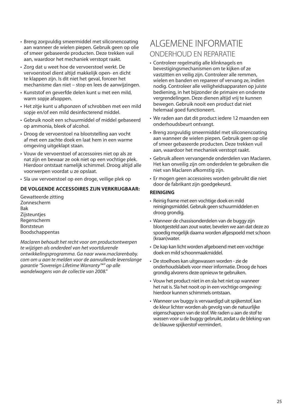- Breng zorgvuldig smeermiddel met siliconencoating aan wanneer de wielen piepen. Gebruik geen op olie of smeer gebaseerde producten. Deze trekken vuil aan, waardoor het mechaniek verstopt raakt.
- Zorg dat u weet hoe de vervoerstoel werkt. De vervoerstoel dient altijd makkelijk open- en dicht te klappen zijn. Is dit niet het geval, forceer het mechanisme dan niet – stop en lees de aanwijzingen.
- Kunststof en geverfde delen kunt u met een mild, warm sopje afsoppen.
- Het zitje kunt u afsponzen of schrobben met een mild sopje en/of een mild desinfecterend middel.
- Gebruik nooit een schuurmiddel of middel gebaseerd op ammonia, bleek of alcohol.
- Droog de vervoerstoel na blootstelling aan vocht af met een zachte doek en laat hem in een warme omgeving uitgeklapt staan.
- Vouw de vervoerstoel of accessoires niet op als ze nat zijn en bewaar ze ook niet op een vochtige plek. Hierdoor ontstaat namelijk schimmel. Droog altijd alle voorwerpen voordat u ze opslaat.
- Sla uw vervoerstoel op een droge, veilige plek op

#### **DE VOLGENDE ACCESSOIRES ZIJN VERKRIJGBAAR:**

Gewatteerde zitting Zonnescherm Bak **Zijsteunties** Regenscherm **Borststeun** Boodschappentas

Maclaren behoudt het recht voor om productontwerpen te wijzigen als onderdeel van het voortdurende ontwikkelingsprogramma. Ga naar www.maclarenbaby. com om u aan te melden voor de aanvullende levenslange garantie "Sovereign Lifetime Warranty™" op alle wandelwagens van de collectie van 2008."

### ALGEMENE INFORMATIEONDERHOUD EN REPARATIE

- Controleer regelmatig alle klinknagels en bevestigingsmechanismen om te kijken of ze vastzitten en veilig zijn. Controleer alle remmen, wielen en banden en repareer of vervang ze, indien nodig. Controleer alle veiligheidsapparaten op juiste bediening, in het bijzonder de primaire en onderste vergrendelingen. Deze dienen altijd vrij te kunnen bewegen. Gebruik nooit een product dat niet helemaal goed functioneert.
- We raden aan dat dit product iedere 12 maanden een onderhoudsbeurt ontvangt.
- Breng zorgvuldig smeermiddel met siliconencoating aan wanneer de wielen piepen. Gebruik geen op olie of smeer gebaseerde producten. Deze trekken vuil aan, waardoor het mechaniek verstopt raakt.
- Gebruik alleen vervangende onderdelen van Maclaren. Het kan onveilig zijn om onderdelen te gebruiken die niet van Maclaren afkomstig zijn.
- Er mogen geen accessoires worden gebruikt die niet door de fabrikant zijn goedgekeurd.

#### **REINIGING**

- Reinig frame met een vochtige doek en mild reinigingsmiddel. Gebruik geen schuurmiddelen en droog grondig.
- Wanneer de chassisonderdelen van de buggy zijn blootgesteld aan zout water, bevelen we aan dat deze zo spoedig mogelijk daarna worden afgespoeld met schoon (kraan)water.
- De kap kan licht worden afgeboend met een vochtige doek en mild schoonmaakmiddel.
- De stoelhoes kan uitgewassen worden zie de onderhoudslabels voor meer informatie. Droog de hoes grondig alvorens deze opnieuw te gebruiken.
- Vouw het product niet in en sla het niet op wanneer het nat is. Sla het nooit op in een vochtige omgeving: hierdoor kunnen schimmels ontstaan.
- Wanneer uw buggy is vervaardigd uit spijkerstof, kan de kleur lichter worden als gevolg van de natuurlijke eigenschappen van de stof. We raden u aan de stof te wassen voor u de buggy gebruikt, zodat u de bleking van de blauwe spijkerstof vermindert.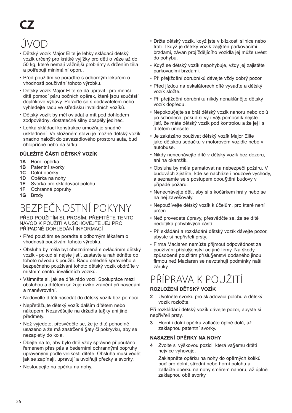# **CZ**

# ÚVOD

- Dětský vozík Major Elite je lehkȳ skládací dětský vozík určenȳ pro krátké vyjížky pro dĕti o váze až do 50 kg, které nemají vážnĕjší problémy s držením tĕla a potřebují minimální oporu.
- Před použitím se poraďtre s odbornȳm lékařem o vhodnosti používání tohoto vyrobku.
- Dětský vozík Major Elite se dá upravit i pro menší dítĕ pomocí páru bočních opĕrek, které jsou součástí doplňkové vȳbavy. Poraďte se s dodavatelem nebo vyhledejte radu ve středisku invalidních vozíků.
- Dětský vozík by mĕl ovládat a mít pod dohledem zodpovědný, dostatečně silný dospělý jedinec.
- Lehká skládací konstrukce umožňuje snadné uskladnĕní. Ve složeném stavu je možné dětský vozík snadno naložit do zavazadlového prostoru auta, buď úhlopříčnĕ nebo na šířku.

#### **DŮLEŽITÉ ČÁSTI DĚTSKÝ VOZÍK**

- **1A** Horní opĕrka
- **1B** Patentní svorky
- **1C** Dolní opĕrky
- **1D** Opĕrka na nohy
- **1E** Svorka pro skladovací polohu
- **1F** Ochranné popruhy
- **1G** Brzdy

# BEZPEČNOSTNÍ POKYNY

<sup>P</sup>ŘED POUŽITÍM SI, PROSÍM, PŘEFITĚTE TENTO NÁVOD K POUŽITÍ A USCHOVEJTE JEJ PRO PŘÍPADNÉ DOHLEDÁNÍ INFORMAC

- Před použitím se poraďte s odbornȳm lékařem o vhodnosti používání tohoto výrobku.
- Obsluha by mĕla bȳt obeznámená s ovládáním dětský vozík - pokud si nejste jistí, zastavte a nahlédnĕte do tohoto návodu k použití. Radu ohlednĕ správného a bezpečného používání tohoto dětský vozík obdržíte v místním centru invalidních vozíků.
- Všimnĕte si, jak se dítĕ rádo vozí. Spolupráce mezi obsluhou a dítĕtem snižuje riziko zranĕní při nasedání a manévrování.
- Nedovolte dítĕti nasedat do dětský vozík bez pomoci.
- Nepřetĕžujte dětský vozík dalším dítĕtem nebo nákupem. Nezavĕšujte na držadla ta§ky ani jiné předmĕty.
- Než vyjedete, přesvĕdčte se, že je dítĕ pohodlnĕ usazeno a že má zastrčené §aty či pokryvku, aby se nezapletly do kola.
- Dbejte na to, aby bylo dítĕ vždy správnĕ připoutáno řemenem přes pás a bederními ochrannȳmi popruhy upravenȳmi podle velikosti dítĕte. Obsluha musí vĕdĕt jak se zapínají, upravují a uvolňují přezky a svorky.
- Nestoupejte na opĕrku na nohy.
- Držte dětský vozík, když jste v blízkosti silnice nebo trati. I když je dětský vozík zaji§tĕn parkovacími brzdami, závan projíždĕjícího vozidla jej může uvést do pohybu.
- Když se dětský vozík nepohybuje, vždy jej zajistĕte parkovacími brzdami.
- Při přejíždĕní obrubníků dávejte vždy dobrȳ pozor.
- Před jízdou na eskalátorech dítĕ vysaďte a dětský vozík složte.
- Při přejíždĕní obrubníku nikdy nenaklánĕjte dětský vozík dopředu.
- Nepokou§ejte se brát dětský vozík nahoru nebo dolů po schodech, pokud si vy i vá§ pomocník nejste jistí, že máte dětský vozík pod kontrolou a že jej i s dítĕtem unesete.
- Je zakázáno používat dětský vozík Major Elite jako dĕtskou sedačku v motorovém vozidle nebo v autobuse.
- Nikdy nenechávejte dítĕ v dětský vozík bez dozoru, ani na okamžik.
- Obsluha by mĕla pamatovat na nebezpečí požáru. V budovách zijstěte, kde se nacházejí nouzové východy, a seznamte se s postupem opou§tĕní budovy v případĕ požáru.
- Nenechávejte dĕti, aby si s kočárkem hrály nebo se na nĕj zavĕšovaly.
- Nepoužívejte dětský vozík k účelům, pro které není určen.
- Než provedete úpravy, přesvĕdčte se, že se dítĕ nedotȳká pohyblivȳch částí.
- Při skládání a rozkládání dětský vozík dávejte pozor, abyste si nepřivřeli prsty.
- Firma Maclaren nemůže přijmout odpovĕdnost za používání příslu§enství od jiné firmy. Na škody způsobené použitím příslu§enství dodaného jinou firmou než Maclaren se nevztahují podmínky naší záruky.

## PŘÍPRAVA K POUŽITÍ

#### **ROZLOŽENÍ DĚTSKÝ VOZÍK**

**2** Uvolnĕte svorku pro skladovací polohu a dětský vozík rozložte.

Při rozkládání dětský vozík dávejte pozor, abyste si nepřivřeli prsty.

**3** Horní i dolní opĕrku zatlačte úplnĕ dolů, až zaklapnou patentní svorky.

#### **NASAZENÍ OPĔRKY NA NOHY**

**4** Zvolte si vȳškovou pozici, která va§emu dítĕti nejvíce vyhovuje.

Zaklapnĕte opĕrku na nohy do opĕrnȳch kolíků buď pro dolní, střední nebo horní polohu a zatlačte opĕrku na nohy smĕrem nahoru, až úplnĕ zaklapnou obĕ svorky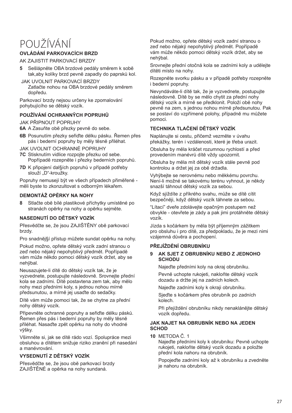# POUŽÍVÁNÍ

#### **OVLÁDÁNÍ PARKOVACÍCH BRZD**

AK ZAJISTIT PARKOVACÍ BRZDY

- **5** Sešlápnĕte OBA brzdové pedály smĕrem k sobĕ tak,aby kolíky brzd pevnĕ zapadly do paprsků kol.
- JAK UVOLNIT PARKOVACÍ BRZDY Zatlačte nohou na OBA brzdové pedály smĕrem dopředu.

Parkovací brzdy nejsou určeny ke zpomalování pohybujícího se dětský vozík.

#### **POUŽÍVÁNÍ OCHRANNȲCH POPRUHŮ**

JAK PŘIPNOUT POPRUHY

- **6A** A Zasuňte obĕ přezky pevnĕ do sebe.
- **6B** Posunutím přezky seřiďte délku pásku. Řemen přes pás i bederní popruhy by mĕly tĕsnĕ přiléhat.

JAK UVOLNIT OCHRANNÉ POPRUHY

- **7C** Stisknutím vidlice rozpojte přezku od sebe. Popřípadĕ rozepnĕte i přezky bederních popruhů.
- **7D** K připojení dal§ích popruhů v případĕ potřeby slouží "D"-kroužky.

Popruhy nemusejí bȳt ve všech případech přimĕřené měli byste to zkonzultovat s odborným lékařem.

#### **DEMONTÁŽ OPĔRKY NA NOHY**

**8** Stlačte obĕ bílé plastikové příchytky umístĕné po stranách opĕrky na nohy a opĕrku sejmĕte.

#### **NASEDNUTÍ DO DĚTSKÝ VOZÍK**

<sup>P</sup>řesvĕd<sup>č</sup>te se, že jsou ZAJIŠTĚNY obĕ parkovací brzdy.

Pro snadnĕj§í přístup můžete sundat opĕrku na nohy.

Pokud možno, opřete dětský vozík zadní stranou o zeď nebo nějaky nepohyblivy předmět. Popřípadě vám může nĕkdo pomoci dětský vozík držet, aby se neh<sub>vbal.</sub>

Neusazujete-li dítĕ do dětský vozík tak, že je vyzvednete, postupujte následovnĕ. Srovnejte přední kola se zadními. Dítĕ postavtena zem tak, aby mĕlo nohy mezi předními koly, s jednou nohou mírnĕ předsunutou, a mírnĕ jej usaďte do sedačky.

Dítĕ vám může pomoci tak, že se chytne za přední nohy dětský vozík.

Připevnĕte ochranné popruhy a seřiďte délku pásků. Řemen přes pás i bederní popruhy by mĕly tĕsn<sup>ĕ</sup> přiléhat. Nasaďte zpĕt opĕrku na nohy do vhodné <sup>v</sup>ȳšky.

Všimnĕte si, jak se dítĕ rádo vozí. Spolupráce mezi obsluhou a dítĕtem snižuje riziko zranĕní při nasedání a manévrování.

#### **VYSEDNUTÍ Z DĚTSKÝ VOZÍK**

Přesvĕdčte se, že jsou obĕ parkovací brzdy ZAJIŠTĚNÉ a op<sup>ĕ</sup>rka na nohy sundaná.

Pokud možno, opřete dětský vozík zadní stranou o zeď nebo nějaky nepohyblivy předmět. Popřípadě vám může nĕkdo pomoci dětský vozík držet, aby se nehȳbal.

Srovnejte přední otočná kola se zadními koly a udĕlejte dítĕti místo na nohy.

Rozepnĕte svorku pásku a v případĕ potřeby rozepnĕte i bederní popruhy.

Nevyndáváte-li dítĕ tak, že je vyzvednete, postupujte následovnĕ. Dítĕ by se mĕlo chytit za přední nohy dětský vozík a mírnĕ se předklonit. Položí obĕ nohy pevnĕ na zem, s jednou nohou mírnĕ předsunutou. Pak se postaví do vzpřímené polohy, případnĕ mu můžete pomoci.

#### **TECHNIKA TLAČENÍ DĚTSKÝ VOZÍK**

Naplánujte si cestu, přičemž vezmĕte v úvahu překážky, terén i vzdálenosti, které je třeba urazit.

Obsluha by mĕla kráčet rozumnou rychlostí a před provedením manévrů dítĕ vždy upozornit.

Obsluha by mĕla mít dětský vozík stále pevnĕ pod kontrolou a držet jej za obĕ držadla.

Vyhȳbejte se nerovnému nebo mĕkkému povrchu. Není-li možné se takovému terénu vyhnout, je nĕkdy snazší táhnout dětský vozík za sebou.

Když sjíždíte z příkrého svahu, může se dítĕ cítit bezpečnĕji, když dětský vozík táhnete za sebou.

"Lítací" dveře zdolávejte opačnȳm postupem než obvykle - otevřete je zády a pak jimi protáhnĕte dětský vozík.

Jízda s kočárkem by měla byt příjemnym zážitkem pro obsluhu i pro dítĕ, za předpokladu, že je mezi nimi vzájemná důvĕra a pochopení.

#### **PŘEJÍŽDĔNÍ OBRUBNÍKU**

#### **9 AK SJET Z OBRUBNÍKU NEBO Z JEDNOHO SCHODU**

Najeďte předními koly na okraj obrubníku.

Pevnĕ uchopte rukojeti, nakloňte dětský vozík dozadu a držte jej na zadních kolech.

Najeďte zadními koly k okraji obrubníku.

Sjeďte s kočárkem přes obrubník po zadních kolech.

Při přejíždění obrubníku nikdy nenaklánějte dětský vozík dopředu.

#### **JAK NAJET NA OBRUBNÍK NEBO NA JEDEN SCHOD**

**10** METODA Č. 1

Najeďte předními koly k obrubníku: Pevnĕ uchopte rukojeti, nakloňte dětský vozík dozadu a položte přední kola nahoru na obrubník.

Popojeďte zadními koly až k obrubníku a zvedněte je nahoru na obrubník.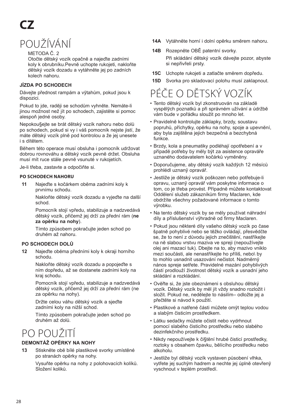# **CZ**

# POUŽÍVÁNÍ

#### METODA Č. 2

Otočte dětský vozík opačnĕ a najeďte zadními koly k obrubníku.Pevnĕ uchopte rukojeti, nakloňte dětský vozík dozadu a vytáhnĕte jej po zadních kolech nahoru.

#### **JÍZDA PO SCHODECH**

Dávejte přednost rampám a vȳtahům, pokud jsou k dispozici.

Pokud to ide, raději se schodům vyhněte. Nemáte-li jinou možnost než jít po schodech, zajistĕte si pomoc alespoň jedné osoby.

Nepokou§ejte se brát dětský vozík nahoru nebo dolů po schodech, pokud si vy i váš pomocník nejste jistí, že máte dětský vozík plnĕ pod kontrolou a že jej unesete i s dítĕtem.

Bĕhem této operace musí obsluha i pomocník udržovat dobrou rovnováhu a dětský vozík pevnĕ držet. Obsluha musí mít ruce stále pevnĕ vsunuté v rukojetích.

Je-li třeba, zastavte a odpočiňte si.

#### **PO SCHODECH NAHORU**

**11** Najeďte s kočárkem obĕma zadními koly k prvnímu schodu.

> Nakloňte dětský vozík dozadu a vyjeďte na další schod.

> Pomocník stojí vpředu, stabilizuje a nadzvedává dětský vozík, přičemž jej drží za přední rám (**ne za opĕrku na nohy**).

 Tímto způsobem pokračujte jeden schod po druhém až nahoru.

#### **PO SCHODECH DOLŮ**

**12** Najeďte obĕma předními koly k okraji horního schodu.

> Nakloňte dětský vozík dozadu a popojeďte s ním dopředu, až se dostanete zadními koly na kraj schodu.

 Pomocník stojí vpředu, stabilizuje a nadzvedává dětský vozík, přičemž jej drží za přední rám (ne za opĕrku na nohy).

 Držte celou váhu dětský vozík a sjeďte zadními koly na nižší schod.

 Tímto způsobem pokračujte jeden schod po druhém až dolů.

## PO POLIŽITÍ

#### **DEMONTÁŽ OPĔRKY NA NOHY**

**13** Stisknĕte obĕ bílé plastikové svorky umístĕné po stranách opĕrky na nohy.

> Vysuňte opĕrku na nohy z polohovacích kolíků. Složení koliků.

- **14A** Vytáhnĕte horní i dolní opĕrku smĕrem nahoru.
- **14B** Rozepnĕte OBĚ patentní svorky. Při skládání dětský vozík dávejte pozor, abyste si nepřivřeli prsty.
- **15C** Uchopte rukojeti a zatlačte smĕrem dopředu.
- **15D** Svorka pro skladovací polohu musí zaklapnout.

## PÉČE O DĚTSKÝ VOZÍK

- Tento dětský vozík byl zkonstruován na základĕ vyspĕlȳch poznatků a při správném užívání a údržbĕ vám bude v pořádku sloužit po mnoho let.
- Pravidelnĕ kontrolujte záklapky, brzdy, soustavu popruhů, příchytky, opĕrku na nohy, spoje a upevnĕní, aby byla zajištĕna jejich bezpečná a bezchybná funkce.
- Brzdy, kola a pneumatiky podléhají opotřebení a v případĕ potřeby by mĕly bȳt za asistence opravář<sup>e</sup> uznaného dodavatelem kočárků vymĕnĕny.
- Doporučujeme, aby dětský vozík každȳch 12 mĕsíců prohlédl uznanȳ opravář.
- Jestliže je dětský vozík poškozen nebo potřebuje-li opravu, uznanȳ opravář vám poskytne informace o tom, co je třeba provést. Případnĕ můžete kontaktovat Oddĕlení služeb zákazníkům firmy Maclaren, kde obdržíte všechny požadované informace o tomto <sup>v</sup>ȳrobku.
- Na tento dětský vozík by se mĕly používat náhradní díly a příslušenství vȳhradnĕ od firmy Maclaren.
- Pokud jsou nĕkteré díly vašeho dětský vozík po čase špatnĕ pohyblivé nebo se tĕžko ovládají, přesvĕdčte se, že to není z důvodu jejich znečištění, nastříkejte na nĕ slabou vrstvu maziva ve spreji (nepoužívejte olej ani mazací tuk). Dbejte na to, aby mazivo vniklo mezi součásti, ale nenastříkejte ho příliš, nebo\ by to mohlo usnadnit usazování nečistot. Nadměrný nános spreje setřete. Pravidelné mazání pohyblivych částí prodlouží životnost dětský vozík a usnadní jeho skládání a rozkládání.
- Ovĕřte si, že jste obeznámeni s obsluhou dětský vozík. Dětský vozík by mĕl jít vždy snadno rozložit i složit. Pokud ne, nedĕlejte to násilím– odložte jej a přečtĕte si návod k použití.
- Plastikové a natřené části můžete omȳt teplou vodou a slabȳm čisticím prostředkem.
- Látku sedačky můžete očistit nebo vydrhnout pomocí slabého čisticího prostředku nebo slabého dezinfekčního prostředku.
- Nikdy nepoužívejte k či§tĕní hrubé čisticí prostředky, roztoky s obsahem čpavku, bĕlícího prostředku nebo alkoholu.
- Jestliže byl dětský vozík vystaven působení vlhka, vytřete jej suchym hadrem a nechte jej úplně otevřeny vyschnout v teplém prostředí.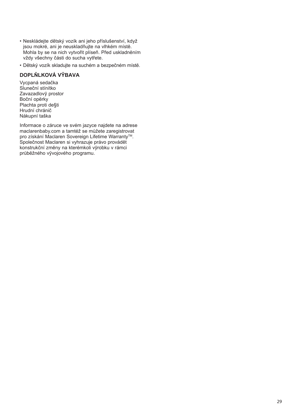- Neskládejte dětský vozík ani jeho příslušenství, když jsou mokré, ani je neuskladňujte na vlhkém místĕ. Mohla by se na nich vytvořit plíseň. Před uskladnĕním vždy všechny části do sucha vytřete.
- Dětský vozík skladujte na suchém a bezpečném místĕ.

#### **DOPLŇLKOVÁ VȲBAVA**

Vycpaná sedačka Sluneční stínítkoZavazadlovȳ prostor Boční opĕrky Plachta proti de§ti Hrudní chráničNákupní taška

Informace o záruce ve svém jazyce najdete na adrese maclarenbaby.com a tamtéž se můžete zaregistrovat pro získání Maclaren Sovereign Lifetime Warranty™. Společnost Maclaren si vyhrazuje právo provádĕt konstrukční změny na kterémkoli vyrobku v rámci průbĕžného vȳvojového programu.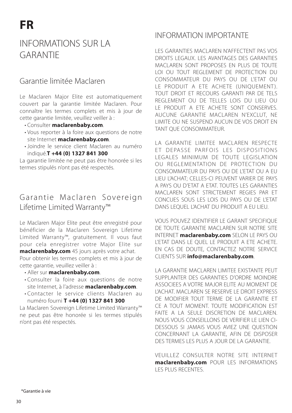### INFORMATIONS SUR LA GARANTIE

### Garantie limitée Maclaren

Le Maclaren Major Elite est automatiquement couvert par la garantie limitée Maclaren. Pour connaître les termes complets et mis à jour de cette garantie limitée, veuillez veiller à :

- Consulter **maclarenbaby.com**.
- Vous reporter à la foire aux questions de notre site Internet **maclarenbaby.com**.
- Joindre le service client Maclaren au numéro indiqué.**T +44 (0) 1327 841 300**

La garantie limitée ne peut pas être honorée si les termes stipulés n'ont pas été respectés.

### Garantie Maclaren Sovereign Lifetime Limited Warranty™

Le Maclaren Major Elite peut être enregistré pour bénéficier de la Maclaren Sovereign Lifetime Limited Warranty™, gratuitement. Il vous faut pour cela enregistrer votre Major Elite sur **maclarenbaby.com** 45 jours après votre achat. Pour obtenir les termes complets et mis à jour de cette garantie, veuillez veiller à :

- Aller sur **maclarenbaby.com**.
- Consulter la foire aux questions de notre site Internet, à l'adresse **maclarenbaby.com**.
- Contacter le service clients Maclaren au numéro fourni **T +44 (0) 1327 841 300**

La Maclaren Sovereign Lifetime Limited Warranty™ ne peut pas être honorée si les termes stipulés <sup>n</sup>'ont pas été respectés.

### INFORMATION IMPORTANTE

LES GARANTIES MACLAREN N'AFFECTENT PAS VOS DROITS LEGAUX. LES AVANTAGES DES GARANTIES MACLAREN SONT PROPOSES EN PLUS DE TOUTE LOI OU TOUT REGLEMENT DE PROTECTION DU CONSOMMATEUR DU PAYS OU DE L'ETAT OU LE PRODUIT A FTE ACHETE (UNIQUEMENT). TOUT DROIT ET RECOURS GARANTI PAR DE TELS REGLEMENT OU DE TELLES LOIS DU LIEU OU LE PRODUIT A ETE ACHETE SONT CONSERVES. AUCUNE GARANTIE MACLAREN N'EXCLUT, NE LIMITE OU NE SUSPEND AUCUN DE VOS DROIT EN TANT QUE CONSOMMATEUR.

LA GARANTIE LIMITEE MACLAREN RESPECTE ET DEPASSE PAREOIS LES DISPOSITIONS LEGALES MINIMUM DE TOUTE LEGISLATION OU REGLEMENTATION DE PROTEC TION DU CONSOMMATEUR DU PAYS OU DE L'ETAT OU A EU LIEU L'ACHAT; CELLES-CI PEUVENT VARIER DE PAYS A PAYS OU D'ETAT A ETAT. TOUTES LES GARANTIES MACLAREN SONT STRICTEMENT REGIES PAR ET CONCUES SOUS LES LOIS DU PAYS OU DE L'ETAT DANS LEQUEL L'ACHAT DU PRODUIT A EU LIEU.

VOUS POUVEZ IDENTIFIER LE GARANT SPECIFIQUE DE TOUTE GARANTIE MACLAREN SUR NOTRE SITE INTERNET **maclarenbaby.com** SELON LE PAYS OU L'ETAT DANS LE QUEL LE PRODUIT A ETE ACHETE. EN CAS DE DOUTE, CONTACTEZ NOTRE SERVICE CLIENTS SUR **info@maclarenbaby.com**.

LA GARANTIE MACLAREN LIMITEE EXISTANTE PEUT SUPPLANTER DES GARANTIES D'ORDRE MOINDRE ASSOCIEES A VOTRE MAJOR ELITE AU MOMENT DE L'ACHAT. MACLAREN SE RESERVE LE DROIT EXPRESS DE MODIFIER TOUT TERME DE LA GARANTIE ET CE A TOUT MOMENT. TOUTE MODIFICATION EST FAITE A LA SEULE DISCRETION DE MACLAREN. NOUS VOUS CONSEILLONS DE VERIFIER LE LIEN CI-DESSOUS SI JAMAIS VOUS AVIEZ UNE QUESTION CONCERNANT LA GARANTIE, AFIN DE DISPOSER DES TERMES LES PLUS A JOUR DE LA GARANTIE.

VEUILLEZ CONSULTER NOTRE SITE INTERNET **maclarenbaby.com** POUR LES INFORMATIONS LES PLUS RECENTES.

\*Garantie à vie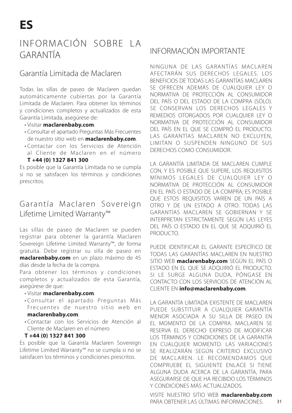### INFORMACIÓN SOBRE LA GARANTÍA

### Garantía Limitada de Maclaren

Todas las sillas de paseo de Maclaren quedan automáticamente cubiertas por la Garantía Limitada de Maclaren. Para obtener los términos y condiciones completos y actualizados de esta Garantía Limitada, asegúrese de:

- Visitar **maclarenbaby.com**.
- Consultar el apartado Preguntas Más Frecuentes de nuestro sitio web en **maclarenbaby.com**.
- Contactar con los Servicios de Atención al Cliente de Maclaren en el número **T +44 (0) 1327 841 300**

Es posible que la Garantía Limitada no se cumpla si no se satisfacen los términos y condiciones prescritos.

### Garantía Maclaren Sovereign Lifetime Limited Warranty™

Las sillas de paseo de Maclaren se pueden registrar para obtener la garantía Maclaren Sovereign Lifetime Limited Warranty™, de forma gratuita. Debe registrar su silla de paseo en **maclarenbaby.com** en un plazo máximo de 45 días desde la fecha de la compra.

Para obtener los términos y condiciones completos y actualizados de esta Garantía, asegúrese de que:

#### • Visitar **maclarenbaby.com**.

- Consultar el apartado Preguntas Más Frecuentes de nuestro sitio web en **maclarenbaby.com**.
- Contactar con los Servicios de Atención al Cliente de Maclaren en el número

#### **T +44 (0) 1327 841 300**

Es posible que la Garantía Maclaren Sovereign Lifetime Limited Warranty™ no se cumpla si no se satisfacen los términos y condiciones prescritos.

### INFORMACIÓN IMPORTANTE

NINGUNA DE LAS GARANTÍAS MACLAREN AFEC TARÁN SUS DERECHOS LEGALES. LOS BENEFICIOS DE TODAS LAS GARANTÍAS MACLAREN SE OFRECEN ADEMÁS DE CUALQUIER LEY O NORMATIVA DE PROTECCIÓN AL CONSUMIDOR DEL PAÍS O DEL ESTADO DE LA COMPRA (SÓLO). SE CONSERVAN LOS DERECHOS LEGALES Y REMEDIOS OTORGADOS POR CUALQUIER LEY O NORMATIVA DE PROTECCIÓN AL CONSUMIDOR DEL PAÍS EN EL QUE SE COMPRÓ EL PRODUCTO. LAS GARANTÍAS MACLAREN NO EXCLUYEN. LIMITAN O SUSPENDEN NINGUNO DE SUS DERECHOS COMO CONSUMIDOR.

LA GARANTÍA LIMITADA DE MACLAREN CUMPLE CON, Y ES POSIBLE QUE SUPERE, LOS REQUISITOS MÍNIMOS LEGALES DE CUALQUIER LEY O NORMATIVA DE PROTECCIÓN AL CONSUMIDOR EN EL PAÍS O ESTADO DE LA COMPRA; ES POSIBLE QUE ESTOS REQUISITOS VARÍEN DE UN PAÍS A OTRO Y DE UN ESTADO A OTRO. TODAS LAS GARANTÍAS MACLAREN SE GOBIERNAN Y SE INTERPRETAN ESTRICTAMENTE SEGÚN LAS LEYES DEL PAÍS O ESTADO EN EL QUE SE ADQUIRIÓ EL PRODUCTO.

PUEDE IDENTIFICAR EL GARANTE ESPECÍFICO DE TODAS LAS GARANTÍAS MACLAREN EN NUESTRO SITIO WEB **maclarenbaby.com** SEGÚN EL PAÍS O ESTADO EN EL QUE SE ADQUIRIÓ EL PRODUCTO. SI LE SURGE ALGUNA DUDA, PÓNGASE EN CONTACTO CON LOS SERVICIOS DE ATENCIÓN AL CLIENTE EN **info@maclarenbaby.com**.

LA GARANTÍA LIMITADA EXISTENTE DE MACLAREN PUEDE SUBSTITUIR A CUALQUIER GARANTÍA MENOR ASOCIADA A SU SILLA DE PASEO EN EL MOMENTO DE LA COMPRA. MACLAREN SE RESERVA EL DERECHO EXPRESO DE MODIFICAR LOS TÉRMINOS Y CONDICIONES DE LA GARANTÍA EN CUALQUIER MOMENTO. LAS VARIACIONES SE REALIZARÁN SEGÚN CRITERIO EXCLUSIVO DE MACLAREN. LE RECOMENDAMOS QUE COMPRUEBE EL SIGUIENTE ENLACE SI TIENE ALGUNA DUDA ACERCA DE LA GARANTÍA, PARA ASEGURARSE DE QUE HA RECIBIDO LOS TÉRMINOS Y CONDICIONES MÁS ACTUALIZADOS.

VISITE NUESTRO SITIO WEB **maclarenbaby.com** PARA OBTENER LAS ÚLTIMAS INFORMACIONES.

31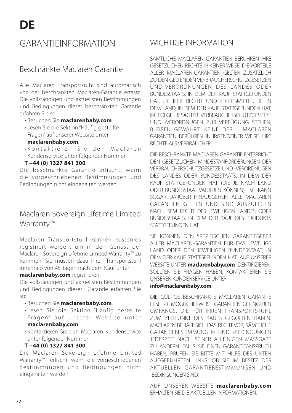### GARANTIEINFORMATION

### Beschränkte Maclaren Garantie

Alle Maclaren Transportstuhl sind automatisch von der beschränkten Maclaren-Garantie erfasst. Die vollständigen und aktuellsten Bestimmungen und Bedingungen dieser beschränkten Garantie erfahren Sie so:

- Besuchen Sie **maclarenbaby.com**.
- Lesen Sie die Sektion "Häufig gestellte Fragen" auf unserer Website unter

#### **maclarenbaby.com**.

•Kontaktieren Sie den Maclaren Kundenservice unter folgender Nummer:

#### **T +44 (0) 1327 841 300**

Die beschränkte Garantie erlischt, wenn die vorgeschriebenen Bestimmungen und Bedingungen nicht eingehalten werden.

### Maclaren Sovereign Lifetime Limited Warranty™

Maclaren Transportstuhl können kostenlos registriert werden, um in den Genuss der Maclaren Sovereign Lifetime Limited Warranty™ zu kommen. Sie müssen dazu Ihren Transportstuhl innerhalb von 45 Tagen nach dem Kauf unter

#### **maclarenbaby.com** registrieren.

Die vollständigen und aktuellsten Bestimmungen und Bedingungen dieser Garantie erfahren Sie so:

- Besuchen Sie **maclarenbaby.com**.
- Lesen Sie die Sektion "Häufig gestellte Fragen" auf unserer Website unter **maclarenbaby.com**.
- Kontaktieren Sie den Maclaren Kundenservice unter folgender Nummer:

#### **T +44 (0) 1327 841 300**

Die Maclaren Sovereign Lifetime Limited Warranty™ erlischt, wenn die vorgeschriebenen Bestimmungen und Bedingungen nicht eingehalten werden.

### WICHTIGE INFORMATION

SÄMTLICHE MACLAREN GARANTIEN BERÜHREN IHRE GESETZLICHEN RECHTE IN KEINER WEISE. DIE VORTEILE ALLER MACLAREN-GARANTIEN GELTEN ZUSÄTZLICH ZU DEN GELTENDEN VERBRAUCHERSCHUTZGESETZEN UND-VERORDNUNGEN DES LANDES ODER BUNDESSTAATS, IN DEM DER KAUF STATTGEFUNDEN HAT. JEGLICHE RECHTE UND RECHTSMITTEL, DIE IN DEM LAND, IN DEM DER KAUF STATTGEFUNDEN HAT, IN FOLGE BESAGTER VERBRAUCHERSCHUTZGESETZE UND -VERORDNUGEN ZUR VERFÜGUNG STEHEN, BLEIBEN GEWAHRT. KEINE DER MACLAREN GARANTIEN BERÜHREN IN IRGENDEINER WEISE IHRE RECHTE ALS VERBRAUCHER.

DIE BESCHRÄNKTE MACLAREN GARANTIE ENTSPRICHT DEN GESETZLICHEN MINDESTANFORDERUNGEN DER VERBRAUCHERSCHUTZGESETZE UND -VERORDNUGEN DES LANDES ODER BUNDESSTAATS, IN DEM DER KAUF STATTGEFUNDEN HAT (DIE JE NACH LAND ODER BUNDESSTAAT VARIIEREN KÖNNEN), SIE KANN SOGAR DARÜBER HINAUSGEHEN. ALLE MACLAREN GARANTIEN GELTEN UND SIND AUSZULEGEN NACH DEM RECHT DES JEWEILIGEN LANDES ODER BUNDESSTAATS, IN DEM DER KAUF DES PRODUKTS STATTGEFUNDEN HAT.

SIE KÖNNEN DEN SPEZIFISCHEN GARANTIEGEBER ALLER MACLAREN-GARANTIEN FÜR DAS JEWEILIGE LAND ODER DEN JEWEILIGEN BUNDESSTAAT, IN DEM DER KAUF STATTGEFUNDEN HAT; AUF UNSERER WEBSITE UNTER **maclarenbaby.com** IDENTIFIZIEREN. SOLLTEN SIE FRAGEN HABEN, KONTAKTIEREN SIE UNSEREN KUNDENSERVICE UNTER

#### **info@maclarenbaby.com**.

DIE GÜLTIGE BESCHRÄNKTE MACLAREN GARANTIE ERSETZT MÖGLICHERWEISE GARANTIEN GERINGEREN UMFANGS, DIE FÜR IHREN TRANSPORTSTUHL ZUM ZEITPUNKT DES KAUFS GEGOLTEN HABEN. MACLAREN BEHÄLT SICH DAS RECHT VOR, SÄMTLICHE GARANTIEBESTIMMUNGEN UND -BEDINGUNGEN JEDERZEIT NACH SEINER ALLEINIGEN MASSGABE ZU ÄNDERN. FALLS SIE EINEN GARANTIEANSPRUCH HABEN, PRÜFEN SIE BITTE MIT HILFE DES UNTEN AUFGEFÜHRTEN LINKS, OB SIE IM BESITZ DER AKTUELLEN GARANTIEBESTIMMUNGEN UND -BEDINGUNGEN SIND.

AUF UNSERER WEBSITE **maclarenbaby.com** ERHALTEN SIE DIE AKTUELLEN INFORMATIONEN.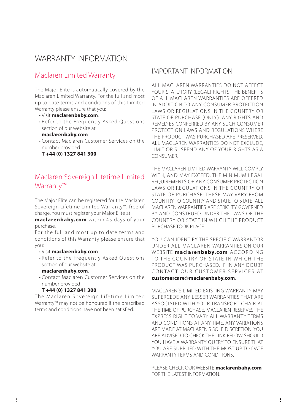### WARRANTY INFORMATION

### Maclaren Limited Warranty

The Major Elite is automatically covered by the Maclaren Limited Warranty. For the full and most up to date terms and conditions of this Limited Warranty please ensure that you:

- Visit **maclarenbaby.com**.
- Refer to the Frequently Asked Questions section of our website at
- **maclarenbaby.com**.
- Contact Maclaren Customer Services on the number provided

 **T +44 (0) 1327 841 300**.

### Maclaren Sovereign Lifetime Limited Warranty™

The Major Elite can be registered for the Maclaren Sovereign Lifetime Limited Warranty™, free of charge. You must register your Major Elite at

**maclarenbaby.com** within 45 days of your purchase.

For the full and most up to date terms and conditions of this Warranty please ensure that you:

- Visit **maclarenbaby.com**.
- Refer to the Frequently Asked Questions section of our website at

#### **maclarenbaby.com**.

• Contact Maclaren Customer Services on the number provided

#### **T +44 (0) 1327 841 300**.

The Maclaren Sovereign Lifetime Limited Warranty™ may not be honoured if the prescribed terms and conditions have not been satisfied.

#### IMPORTANT INFORMATION

ALL MACLAREN WARRANTIES DO NOT AFFECT YOUR STATUTORY (LEGAL) RIGHTS. THE BENEFITS OF ALL MACLAREN WARRANTIES ARE OFFERED IN ADDITION TO ANY CONSUMER PROTECTION LAWS OR REGULATIONS IN THE COUNTRY OR STATE OF PURCHASE (ONLY). ANY RIGHTS AND REMEDIES CONFERRED BY ANY SUCH CONSUMER PROTECTION LAWS AND REGULATIONS WHERE THE PRODUCT WAS PURCHASED ARE PRESERVED. ALL MACLAREN WARRANTIES DO NOT EXCLUDE. LIMIT OR SUSPEND ANY OF YOUR RIGHTS AS A **CONSUMER** 

THE MACLAREN LIMITED WARRANTY WILL COMPLY WITH, AND MAY EXCEED, THE MINIMUM LEGAL REQUIREMENTS OF ANY CONSUMER PROTECTION LAWS OR REGULATIONS IN THE COUNTRY OR STATE OF PURCHASE; THESE MAY VARY FROM COUNTRY TO COUNTRY AND STATE TO STATE. ALL MACLAREN WARRANTIES ARE STRICLTY GOVERNED BY AND CONSTRUED UNDER THE LAWS OF THE COUNTRY OR STATE IN WHICH THE PRODUCT PURCHASE TOOK PLACE.

YOU CAN IDENTIFY THE SPECIFIC WARRANTOR UNDER ALL MACLAREN WARRANTIES ON OUR WEBSITE maclarenbaby.com ACCORDING TO THE COUNTRY OR STATE IN WHICH THE PRODUCT WAS PURCHASED. IF IN ANY DOUBT CONTACT OUR CUSTOMER SERVICES AT **customercare@maclarenbaby.com**.

MACLAREN'S LIMITED EXISTING WARRANTY MAY SUPERCEDE ANY LESSER WARRANTIES THAT ARE ASSOCIATED WITH YOUR TRANSPORT CHAIR AT THE TIME OF PURCHASE. MACLAREN RESERVES THE EXPRESS RIGHT TO VARY ALL WARRANTY TERMS AND CONDITIONS AT ANY TIME. ANY VARIATIONS ARE MADE AT MACLAREN'S SOLE DISCRETION. YOU ARE ADVISED TO CHECK THE LINK BELOW SHOULD YOU HAVE A WARRANTY QUERY TO ENSURE THAT YOU ARE SUPPLIED WITH THE MOST UP TO DATE WARRANTY TERMS AND CONDITIONS.

PLEASE CHECK OUR WEBSITE **maclarenbaby.com** FOR THE LATEST INFORMATION.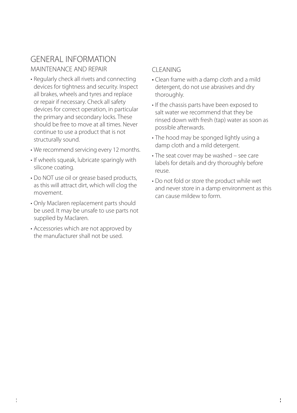### GENERAL INFORMATIONMAINTENANCE AND REPAIR

- Regularly check all rivets and connecting devices for tightness and security. Inspect all brakes, wheels and tyres and replace or repair if necessary. Check all safety devices for correct operation, in particular the primary and secondary locks. These should be free to move at all times. Never continue to use a product that is not structurally sound.
- We recommend servicing every 12 months.
- If wheels squeak, lubricate sparingly with silicone coating.
- Do NOT use oil or grease based products, as this will attract dirt, which will clog the movement.
- Only Maclaren replacement parts should be used. It may be unsafe to use parts not supplied by Maclaren.
- Accessories which are not approved by the manufacturer shall not be used.

### CLEANING

- Clean frame with a damp cloth and a mild detergent, do not use abrasives and dry thoroughly.
- If the chassis parts have been exposed to salt water we recommend that they be rinsed down with fresh (tap) water as soon as possible afterwards.
- The hood may be sponged lightly using a damp cloth and a mild detergent.
- The seat cover may be washed see care labels for details and dry thoroughly before reuse.
- Do not fold or store the product while wet and never store in a damp environment as this can cause mildew to form.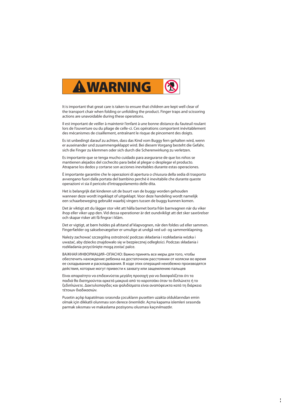

It is important that great care is taken to ensure that children are kept well clear of the transport chair when folding or unfolding the product. Finger traps and scissoring actions are unavoidable during these operations.

Il est important de veiller à maintenir l'enfant à une bonne distance du fauteuil roulant lors de l'ouverture ou du pliage de celle-ci. Ces opérations comportent inévitablement des mécanismes de cisaillement, entraînant le risque de pincement des doigts.

Es ist unbedingt darauf zu achten, dass das Kind vom Buggy fern gehalten wird, wenn er auseinander und zusammengeklappt wird. Bei diesem Vorgang besteht die Gefahr, sich die Finger zu klemmen oder sich durch die Scherenwirkung zu verletzen.

Es importante que se tenga mucho cuidado para asegurarse de que los niños se mantienen alejados del cochecito para bebé al plegar o desplegar el producto. Atraparse los dedos y cortarse son acciones inevitables durante estas operaciones.

È importante garantire che le operazioni di apertura o chiusura della sedia di trasporto avvengano fuori dalla portata del bambino perché è inevitabile che durante queste operazioni vi sia il pericolo d'intrappolamento delle dita.

Het is belangrijk dat kinderen uit de buurt van de buggy worden gehouden wanneer deze wordt ingeklapt of uitgeklapt. Voor deze handeling wordt namelijk een schaarbeweging gebruikt waarbij vingers tussen de buggy kunnen komen.

Det är viktigt att du lägger stor vikt att hålla barnet borta från barnvagnen när du viker ihop eller viker upp den. Vid dessa operationer är det oundvikligt att det sker saxrörelser och skapar risker att få fingrar i kläm.

Det er vigtigt, at børn holdes på afstand af klapvognen, når den foldes ud eller sammen. Fingerfælder og saksebevægelser er umulige at undgå ved ud- og sammenklapning.

Należy zachować szczególną ostrożność podczas składania i rozkładania wózka i uważać, aby dziecko znajdowało się w bezpiecznej odległości. Podczas składania i rozkładania przyciśnięte mogą zostać palce.

ВАЖНАЯ ИНФОРМАЦИЯ–ОПАСНО: Важно принять все меры для того, чтобы обеспечить нахождение ребенка на достаточном расстоянии от коляски во время ее складывания и раскладывания. В ходе этих операций неизбежно производятся действия, которые могут привести к захвату или защемлению пальцев

Είναι απαραίτητο να επιδεικνύεται μεγάλη προσοχή για να διασφαλίζεται ότι τα παιδιά θα διατηρούνται αρκετά μακρυά από το καροτσάκι όταν το διπλώνετε ή το ξεδιπλώνετε. Δακτυλοπαγίδες και ψαλιδίσματα είναι αναπόφευκτα κατά τη διάρκεια τέτοιων διαδικασιών.

Pusetin açılıp kapatılması sırasında çocukların pusetten uzakta olduklarından emin olmak için dikkatli olunması son derece önemlidir. Açma kapama islemleri sırasında parmak sıkısması ve makaslama pozisyonu olusması kaçınılmazdır.